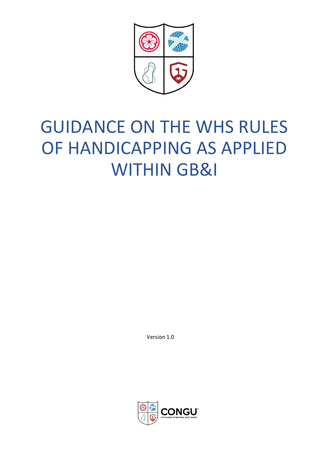

# GUIDANCE ON THE WHS RULES OF HANDICAPPING AS APPLIED WITHIN GB&I

Version 1.0

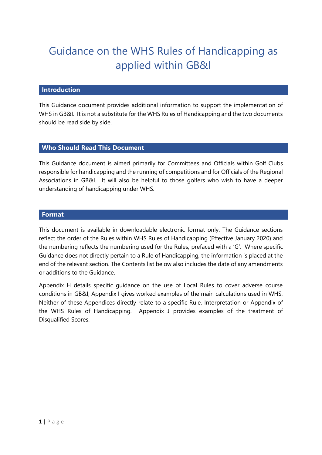### Guidance on the WHS Rules of Handicapping as applied within GB&I

#### **Introduction**

This Guidance document provides additional information to support the implementation of WHS in GB&I. It is not a substitute for the WHS Rules of Handicapping and the two documents should be read side by side.

#### **Who Should Read This Document**

This Guidance document is aimed primarily for Committees and Officials within Golf Clubs responsible for handicapping and the running of competitions and for Officials of the Regional Associations in GB&I. It will also be helpful to those golfers who wish to have a deeper understanding of handicapping under WHS.

#### **Format**

This document is available in downloadable electronic format only. The Guidance sections reflect the order of the Rules within WHS Rules of Handicapping (Effective January 2020) and the numbering reflects the numbering used for the Rules, prefaced with a 'G'. Where specific Guidance does not directly pertain to a Rule of Handicapping, the information is placed at the end of the relevant section. The Contents list below also includes the date of any amendments or additions to the Guidance.

Appendix H details specific guidance on the use of Local Rules to cover adverse course conditions in GB&I; Appendix I gives worked examples of the main calculations used in WHS. Neither of these Appendices directly relate to a specific Rule, Interpretation or Appendix of the WHS Rules of Handicapping. Appendix J provides examples of the treatment of Disqualified Scores.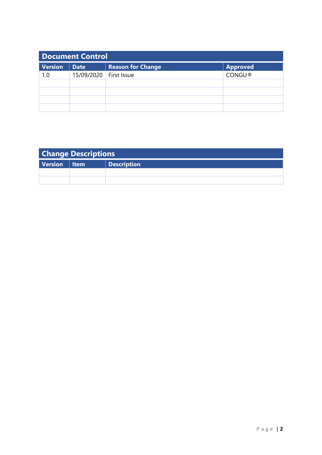| <b>Document Control</b> |             |                          |                 |  |  |  |
|-------------------------|-------------|--------------------------|-----------------|--|--|--|
| <b>Version</b>          | <b>Date</b> | <b>Reason for Change</b> | <b>Approved</b> |  |  |  |
| 1.0                     | 15/09/2020  | First Issue              | <b>CONGU®</b>   |  |  |  |
|                         |             |                          |                 |  |  |  |
|                         |             |                          |                 |  |  |  |
|                         |             |                          |                 |  |  |  |
|                         |             |                          |                 |  |  |  |

| <b>Change Descriptions</b> |  |                    |  |  |  |  |
|----------------------------|--|--------------------|--|--|--|--|
| Version   Item             |  | <b>Description</b> |  |  |  |  |
|                            |  |                    |  |  |  |  |
|                            |  |                    |  |  |  |  |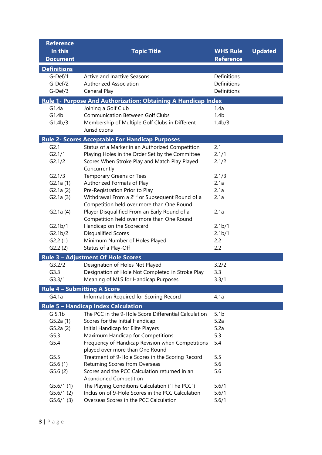| <b>Reference</b>   |                                                               |                     |                |
|--------------------|---------------------------------------------------------------|---------------------|----------------|
| In this            | <b>Topic Title</b>                                            | <b>WHS Rule</b>     | <b>Updated</b> |
| <b>Document</b>    |                                                               | <b>Reference</b>    |                |
| <b>Definitions</b> |                                                               |                     |                |
| G-Def/1            | Active and Inactive Seasons                                   | Definitions         |                |
| G-Def/2            | <b>Authorized Association</b>                                 | Definitions         |                |
| $G-Def/3$          | General Play                                                  | Definitions         |                |
|                    | Rule 1- Purpose And Authorization; Obtaining A Handicap Index |                     |                |
| G1.4a              | Joining a Golf Club                                           | 1.4a                |                |
| G1.4b              | <b>Communication Between Golf Clubs</b>                       | 1.4 <sub>b</sub>    |                |
| G1.4b/3            | Membership of Multiple Golf Clubs in Different                | 1.4 <sub>b</sub> /3 |                |
|                    | Jurisdictions                                                 |                     |                |
|                    | <b>Rule 2- Scores Acceptable For Handicap Purposes</b>        |                     |                |
| G2.1               | Status of a Marker in an Authorized Competition               | 2.1                 |                |
| G2.1/1             | Playing Holes in the Order Set by the Committee               | 2.1/1               |                |
| G2.1/2             | Scores When Stroke Play and Match Play Played                 | 2.1/2               |                |
|                    | Concurrently                                                  |                     |                |
| G2.1/3             | Temporary Greens or Tees                                      | 2.1/3               |                |
| G2.1a(1)           | Authorized Formats of Play                                    | 2.1a                |                |
| G2.1a(2)           | Pre-Registration Prior to Play                                | 2.1a                |                |
| G2.1a(3)           | Withdrawal From a 2 <sup>nd</sup> or Subsequent Round of a    | 2.1a                |                |
|                    | Competition held over more than One Round                     |                     |                |
| G2.1a(4)           | Player Disqualified From an Early Round of a                  | 2.1a                |                |
|                    | Competition held over more than One Round                     |                     |                |
| G2.1b/1            | Handicap on the Scorecard                                     | 2.1 <sub>b</sub> /1 |                |
| G2.1b/2            | <b>Disqualified Scores</b>                                    | 2.1 <sub>b</sub> /1 |                |
| G2.2(1)            | Minimum Number of Holes Played                                | 2.2                 |                |
| G2.2(2)            | Status of a Play-Off                                          | 2.2                 |                |
|                    | Rule 3 - Adjustment Of Hole Scores                            |                     |                |
| G3.2/2             | Designation of Holes Not Played                               | 3.2/2               |                |
| G3.3               | Designation of Hole Not Completed in Stroke Play              | 3.3                 |                |
| G3.3/1             | Meaning of MLS for Handicap Purposes                          | 3.3/1               |                |
|                    | <b>Rule 4 - Submitting A Score</b>                            |                     |                |
| G4.1a              | Information Required for Scoring Record                       | 4.1a                |                |
|                    | <b>Rule 5 - Handicap Index Calculation</b>                    |                     |                |
| G 5.1b             | The PCC in the 9-Hole Score Differential Calculation          | 5.1 <sub>b</sub>    |                |
| G5.2a(1)           | Scores for the Initial Handicap                               | 5.2a                |                |
| G5.2a(2)           | Initial Handicap for Elite Players                            | 5.2a                |                |
| G5.3               | Maximum Handicap for Competitions                             | 5.3                 |                |
| G5.4               | Frequency of Handicap Revision when Competitions              | 5.4                 |                |
|                    | played over more than One Round                               |                     |                |
| G5.5               | Treatment of 9-Hole Scores in the Scoring Record              | 5.5                 |                |
| G5.6(1)            | Returning Scores from Overseas                                | 5.6                 |                |
| G5.6(2)            | Scores and the PCC Calculation returned in an                 | 5.6                 |                |
|                    | Abandoned Competition                                         |                     |                |
| G5.6/1(1)          | The Playing Conditions Calculation ("The PCC")                | 5.6/1               |                |
| G5.6/1(2)          | Inclusion of 9-Hole Scores in the PCC Calculation             | 5.6/1               |                |
| G5.6/1(3)          | Overseas Scores in the PCC Calculation                        | 5.6/1               |                |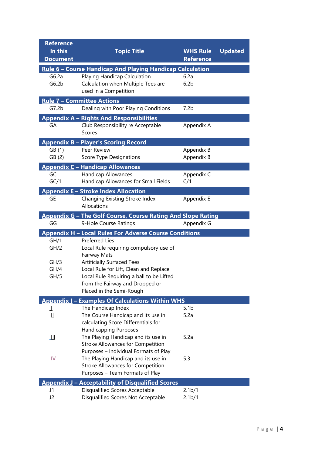| <b>Reference</b><br>In this | <b>Topic Title</b>                                                                                                                                          | <b>WHS Rule</b>          | <b>Updated</b> |
|-----------------------------|-------------------------------------------------------------------------------------------------------------------------------------------------------------|--------------------------|----------------|
| <b>Document</b>             |                                                                                                                                                             | <b>Reference</b>         |                |
|                             | Rule 6 - Course Handicap And Playing Handicap Calculation                                                                                                   |                          |                |
| G6.2a<br>G6.2b              | Playing Handicap Calculation<br>Calculation when Multiple Tees are<br>used in a Competition                                                                 | 6.2a<br>6.2 <sub>b</sub> |                |
|                             | <b>Rule 7 - Committee Actions</b>                                                                                                                           |                          |                |
| G7.2b                       | Dealing with Poor Playing Conditions                                                                                                                        | 7.2 <sub>b</sub>         |                |
| GA                          | <b>Appendix A</b> – Rights And Responsibilities<br>Club Responsibility re Acceptable<br>Scores                                                              | Appendix A               |                |
|                             | <b>Appendix B – Player's Scoring Record</b>                                                                                                                 |                          |                |
| GB(1)<br>GB(2)              | Peer Review<br>Score Type Designations                                                                                                                      | Appendix B<br>Appendix B |                |
|                             | <b>Appendix C - Handicap Allowances</b>                                                                                                                     |                          |                |
| GC                          | <b>Handicap Allowances</b>                                                                                                                                  | Appendix C               |                |
| GC/1                        | Handicap Allowances for Small Fields                                                                                                                        | C/1                      |                |
|                             | <b>Appendix E - Stroke Index Allocation</b>                                                                                                                 |                          |                |
| <b>GE</b>                   | Changing Existing Stroke Index<br>Allocations                                                                                                               | Appendix E               |                |
|                             | <b>Appendix G</b> – The Golf Course, Course Rating And Slope Rating                                                                                         |                          |                |
| GG                          | 9-Hole Course Ratings                                                                                                                                       | Appendix G               |                |
|                             | <b>Appendix H - Local Rules For Adverse Course Conditions</b>                                                                                               |                          |                |
| GH/1                        | <b>Preferred Lies</b>                                                                                                                                       |                          |                |
| GH/2                        | Local Rule requiring compulsory use of                                                                                                                      |                          |                |
|                             | Fairway Mats                                                                                                                                                |                          |                |
| GH/3                        | <b>Artificially Surfaced Tees</b>                                                                                                                           |                          |                |
| GH/4                        | Local Rule for Lift, Clean and Replace                                                                                                                      |                          |                |
| GH/5                        | Local Rule Requiring a ball to be Lifted<br>from the Fairway and Dropped or<br>Placed in the Semi-Rough                                                     |                          |                |
|                             | <b>Appendix I - Examples Of Calculations Within WHS</b>                                                                                                     |                          |                |
| Т                           | The Handicap Index                                                                                                                                          | 5.1 <sub>b</sub>         |                |
| Ш                           | The Course Handicap and its use in                                                                                                                          | 5.2a                     |                |
|                             | calculating Score Differentials for<br><b>Handicapping Purposes</b>                                                                                         |                          |                |
| Щ                           | The Playing Handicap and its use in<br>Stroke Allowances for Competition                                                                                    | 5.2a                     |                |
| $\underline{\underline{W}}$ | Purposes - Individual Formats of Play<br>The Playing Handicap and its use in<br><b>Stroke Allowances for Competition</b><br>Purposes - Team Formats of Play | 5.3                      |                |
|                             | <b>Appendix J - Acceptability of Disqualified Scores</b>                                                                                                    |                          |                |
| J1                          | Disqualified Scores Acceptable                                                                                                                              | 2.1 <sub>b</sub> /1      |                |
| J2                          | Disqualified Scores Not Acceptable                                                                                                                          | 2.1 <sub>b</sub> /1      |                |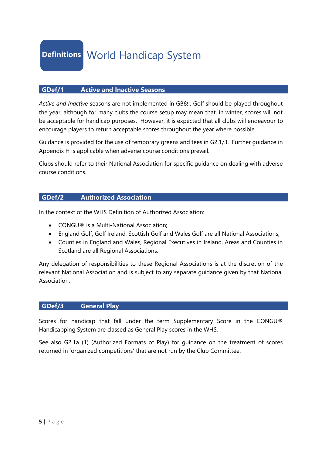#### <span id="page-5-0"></span>**GDef/1 Active and Inactive Seasons**

*Active and Inactive* seasons are not implemented in GB&I. Golf should be played throughout the year; although for many clubs the course setup may mean that, in winter, scores will not be acceptable for handicap purposes. However, it is expected that all clubs will endeavour to encourage players to return acceptable scores throughout the year where possible.

Guidance is provided for the use of temporary greens and tees in G2.1/3. Further guidance in Appendix H is applicable when adverse course conditions prevail.

Clubs should refer to their National Association for specific guidance on dealing with adverse course conditions.

#### **GDef/2 Authorized Association**

In the context of the WHS Definition of Authorized Association:

- CONGU® is a Multi-National Association;
- England Golf, Golf Ireland, Scottish Golf and Wales Golf are all National Associations;
- Counties in England and Wales, Regional Executives in Ireland, Areas and Counties in Scotland are all Regional Associations.

Any delegation of responsibilities to these Regional Associations is at the discretion of the relevant National Association and is subject to any separate guidance given by that National Association.

#### **GDef/3 General Play**

Scores for handicap that fall under the term Supplementary Score in the CONGU® Handicapping System are classed as General Play scores in the WHS.

See also G2.1a (1) (Authorized Formats of Play) for guidance on the treatment of scores returned in 'organized competitions' that are not run by the Club Committee.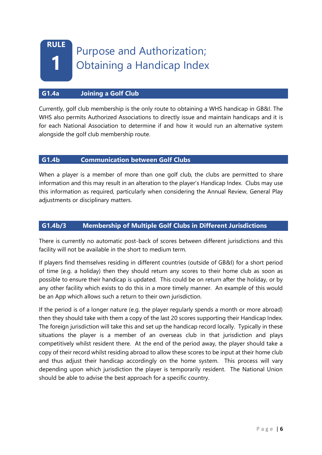### <span id="page-6-0"></span>**RULE 1** Purpose and Authorization; Obtaining a Handicap Index

#### **G1.4a Joining a Golf Club**

Currently, golf club membership is the only route to obtaining a WHS handicap in GB&I. The WHS also permits Authorized Associations to directly issue and maintain handicaps and it is for each National Association to determine if and how it would run an alternative system alongside the golf club membership route.

#### **G1.4b Communication between Golf Clubs**

When a player is a member of more than one golf club, the clubs are permitted to share information and this may result in an alteration to the player's Handicap Index. Clubs may use this information as required, particularly when considering the Annual Review, General Play adjustments or disciplinary matters.

#### **G1.4b/3 Membership of Multiple Golf Clubs in Different Jurisdictions**

There is currently no automatic post-back of scores between different jurisdictions and this facility will not be available in the short to medium term.

If players find themselves residing in different countries (outside of GB&I) for a short period of time (e.g. a holiday) then they should return any scores to their home club as soon as possible to ensure their handicap is updated. This could be on return after the holiday, or by any other facility which exists to do this in a more timely manner. An example of this would be an App which allows such a return to their own jurisdiction.

If the period is of a longer nature (e.g. the player regularly spends a month or more abroad) then they should take with them a copy of the last 20 scores supporting their Handicap Index. The foreign jurisdiction will take this and set up the handicap record locally. Typically in these situations the player is a member of an overseas club in that jurisdiction and plays competitively whilst resident there. At the end of the period away, the player should take a copy of their record whilst residing abroad to allow these scores to be input at their home club and thus adjust their handicap accordingly on the home system. This process will vary depending upon which jurisdiction the player is temporarily resident. The National Union should be able to advise the best approach for a specific country.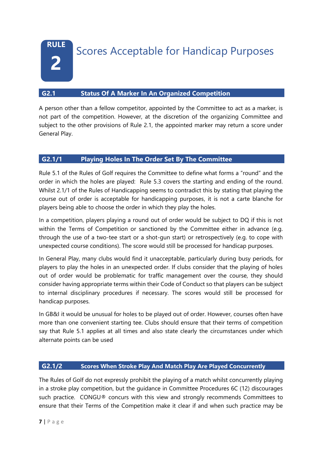<span id="page-7-0"></span>**RULE 2**

Scores Acceptable for Handicap Purposes

#### **G2.1 Status Of A Marker In An Organized Competition**

A person other than a fellow competitor, appointed by the Committee to act as a marker, is not part of the competition. However, at the discretion of the organizing Committee and subject to the other provisions of Rule 2.1, the appointed marker may return a score under General Play.

#### **G2.1/1 Playing Holes In The Order Set By The Committee**

Rule 5.1 of the Rules of Golf requires the Committee to define what forms a "round" and the order in which the holes are played: Rule 5.3 covers the starting and ending of the round. Whilst 2.1/1 of the Rules of Handicapping seems to contradict this by stating that playing the course out of order is acceptable for handicapping purposes, it is not a carte blanche for players being able to choose the order in which they play the holes.

In a competition, players playing a round out of order would be subject to DQ if this is not within the Terms of Competition or sanctioned by the Committee either in advance (e.g. through the use of a two-tee start or a shot-gun start) or retrospectively (e.g. to cope with unexpected course conditions). The score would still be processed for handicap purposes.

In General Play, many clubs would find it unacceptable, particularly during busy periods, for players to play the holes in an unexpected order. If clubs consider that the playing of holes out of order would be problematic for traffic management over the course, they should consider having appropriate terms within their Code of Conduct so that players can be subject to internal disciplinary procedures if necessary. The scores would still be processed for handicap purposes.

In GB&I it would be unusual for holes to be played out of order. However, courses often have more than one convenient starting tee. Clubs should ensure that their terms of competition say that Rule 5.1 applies at all times and also state clearly the circumstances under which alternate points can be used

#### **G2.1/2 Scores When Stroke Play And Match Play Are Played Concurrently**

The Rules of Golf do not expressly prohibit the playing of a match whilst concurrently playing in a stroke play competition, but the guidance in Committee Procedures 6C (12) discourages such practice. CONGU® concurs with this view and strongly recommends Committees to ensure that their Terms of the Competition make it clear if and when such practice may be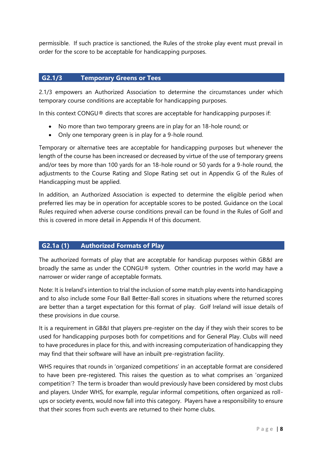permissible. If such practice is sanctioned, the Rules of the stroke play event must prevail in order for the score to be acceptable for handicapping purposes.

#### **G2.1/3 Temporary Greens or Tees**

2.1/3 empowers an Authorized Association to determine the circumstances under which temporary course conditions are acceptable for handicapping purposes.

In this context CONGU® directs that scores are acceptable for handicapping purposes if:

- No more than two temporary greens are in play for an 18-hole round; or
- Only one temporary green is in play for a 9-hole round.

Temporary or alternative tees are acceptable for handicapping purposes but whenever the length of the course has been increased or decreased by virtue of the use of temporary greens and/or tees by more than 100 yards for an 18-hole round or 50 yards for a 9-hole round, the adjustments to the Course Rating and Slope Rating set out in Appendix G of the Rules of Handicapping must be applied.

In addition, an Authorized Association is expected to determine the eligible period when preferred lies may be in operation for acceptable scores to be posted. Guidance on the Local Rules required when adverse course conditions prevail can be found in the Rules of Golf and this is covered in more detail in Appendix H of this document.

#### **G2.1a (1) Authorized Formats of Play**

The authorized formats of play that are acceptable for handicap purposes within GB&I are broadly the same as under the CONGU® system. Other countries in the world may have a narrower or wider range of acceptable formats.

Note: It is Ireland's intention to trial the inclusion of some match play events into handicapping and to also include some Four Ball Better-Ball scores in situations where the returned scores are better than a target expectation for this format of play. Golf Ireland will issue details of these provisions in due course.

It is a requirement in GB&I that players pre-register on the day if they wish their scores to be used for handicapping purposes both for competitions and for General Play. Clubs will need to have procedures in place for this, and with increasing computerization of handicapping they may find that their software will have an inbuilt pre-registration facility.

WHS requires that rounds in 'organized competitions' in an acceptable format are considered to have been pre-registered. This raises the question as to what comprises an 'organized competition'? The term is broader than would previously have been considered by most clubs and players. Under WHS, for example, regular informal competitions, often organized as rollups or society events, would now fall into this category. Players have a responsibility to ensure that their scores from such events are returned to their home clubs.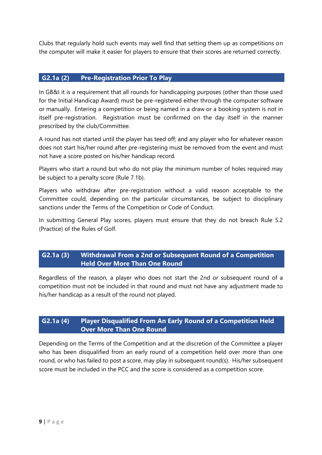Clubs that regularly hold such events may well find that setting them up as competitions on the computer will make it easier for players to ensure that their scores are returned correctly.

#### **G2.1a (2) Pre-Registration Prior To Play**

In GB&I it is a requirement that all rounds for handicapping purposes (other than those used for the Initial Handicap Award) must be pre-registered either through the computer software or manually. Entering a competition or being named in a draw or a booking system is not in itself pre-registration. Registration must be confirmed on the day itself in the manner prescribed by the club/Committee.

A round has not started until the player has teed off; and any player who for whatever reason does not start his/her round after pre-registering must be removed from the event and must not have a score posted on his/her handicap record.

Players who start a round but who do not play the minimum number of holes required may be subject to a penalty score (Rule 7.1b).

Players who withdraw after pre-registration without a valid reason acceptable to the Committee could, depending on the particular circumstances, be subject to disciplinary sanctions under the Terms of the Competition or Code of Conduct.

In submitting General Play scores, players must ensure that they do not breach Rule 5.2 (Practice) of the Rules of Golf.

#### **G2.1a (3) Withdrawal From a 2nd or Subsequent Round of a Competition Held Over More Than One Round**

Regardless of the reason, a player who does not start the 2nd or subsequent round of a competition must not be included in that round and must not have any adjustment made to his/her handicap as a result of the round not played.

#### **G2.1a (4) Player Disqualified From An Early Round of a Competition Held Over More Than One Round**

Depending on the Terms of the Competition and at the discretion of the Committee a player who has been disqualified from an early round of a competition held over more than one round, or who has failed to post a score, may play in subsequent round(s). His/her subsequent score must be included in the PCC and the score is considered as a competition score.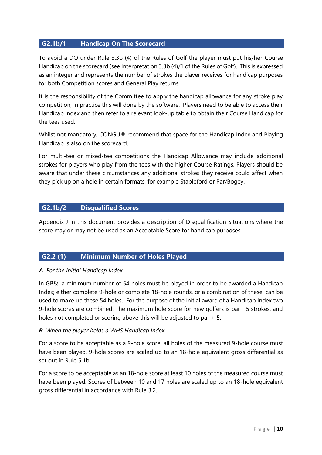#### **G2.1b/1 Handicap On The Scorecard**

To avoid a DQ under Rule 3.3b (4) of the Rules of Golf the player must put his/her Course Handicap on the scorecard (see Interpretation 3.3b (4)/1 of the Rules of Golf). This is expressed as an integer and represents the number of strokes the player receives for handicap purposes for both Competition scores and General Play returns.

It is the responsibility of the Committee to apply the handicap allowance for any stroke play competition; in practice this will done by the software. Players need to be able to access their Handicap Index and then refer to a relevant look-up table to obtain their Course Handicap for the tees used.

Whilst not mandatory, CONGU® recommend that space for the Handicap Index and Playing Handicap is also on the scorecard.

For multi-tee or mixed-tee competitions the Handicap Allowance may include additional strokes for players who play from the tees with the higher Course Ratings. Players should be aware that under these circumstances any additional strokes they receive could affect when they pick up on a hole in certain formats, for example Stableford or Par/Bogey.

#### **G2.1b/2 Disqualified Scores**

Appendix J in this document provides a description of Disqualification Situations where the score may or may not be used as an Acceptable Score for handicap purposes.

#### **G2.2 (1) Minimum Number of Holes Played**

#### *A For the Initial Handicap Index*

In GB&I a minimum number of 54 holes must be played in order to be awarded a Handicap Index; either complete 9-hole or complete 18-hole rounds, or a combination of these, can be used to make up these 54 holes. For the purpose of the initial award of a Handicap Index two 9-hole scores are combined. The maximum hole score for new golfers is par +5 strokes, and holes not completed or scoring above this will be adjusted to par + 5.

#### *B When the player holds a WHS Handicap Index*

For a score to be acceptable as a 9-hole score, all holes of the measured 9-hole course must have been played. 9-hole scores are scaled up to an 18-hole equivalent gross differential as set out in Rule 5.1b.

For a score to be acceptable as an 18-hole score at least 10 holes of the measured course must have been played. Scores of between 10 and 17 holes are scaled up to an 18-hole equivalent gross differential in accordance with Rule 3.2.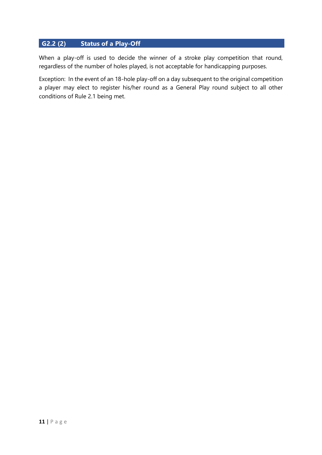#### **G2.2 (2) Status of a Play-Off**

When a play-off is used to decide the winner of a stroke play competition that round, regardless of the number of holes played, is not acceptable for handicapping purposes.

Exception: In the event of an 18-hole play-off on a day subsequent to the original competition a player may elect to register his/her round as a General Play round subject to all other conditions of Rule 2.1 being met.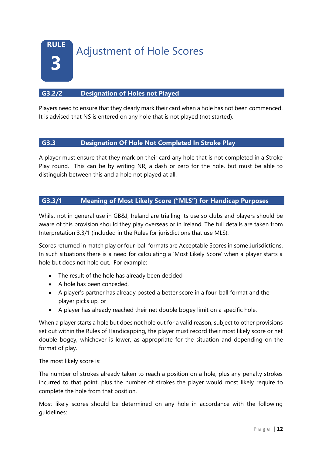<span id="page-12-0"></span>

#### **G3.2/2 Designation of Holes not Played**

Players need to ensure that they clearly mark their card when a hole has not been commenced. It is advised that NS is entered on any hole that is not played (not started).

#### **G3.3 Designation Of Hole Not Completed In Stroke Play**

A player must ensure that they mark on their card any hole that is not completed in a Stroke Play round. This can be by writing NR, a dash or zero for the hole, but must be able to distinguish between this and a hole not played at all.

#### **G3.3/1 Meaning of Most Likely Score ("MLS") for Handicap Purposes**

Whilst not in general use in GB&I, Ireland are trialling its use so clubs and players should be aware of this provision should they play overseas or in Ireland. The full details are taken from Interpretation 3.3/1 (included in the Rules for jurisdictions that use MLS).

Scores returned in match play or four-ball formats are Acceptable Scores in some Jurisdictions. In such situations there is a need for calculating a 'Most Likely Score' when a player starts a hole but does not hole out. For example:

- The result of the hole has already been decided,
- A hole has been conceded,
- A player's partner has already posted a better score in a four-ball format and the player picks up, or
- A player has already reached their net double bogey limit on a specific hole.

When a player starts a hole but does not hole out for a valid reason, subject to other provisions set out within the Rules of Handicapping, the player must record their most likely score or net double bogey, whichever is lower, as appropriate for the situation and depending on the format of play.

The most likely score is:

The number of strokes already taken to reach a position on a hole, plus any penalty strokes incurred to that point, plus the number of strokes the player would most likely require to complete the hole from that position.

Most likely scores should be determined on any hole in accordance with the following guidelines: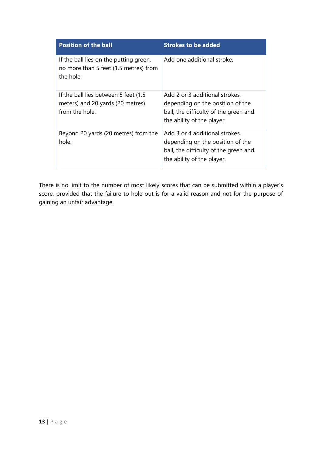| <b>Position of the ball</b>                                                                  | <b>Strokes to be added</b>                                                                                                                |
|----------------------------------------------------------------------------------------------|-------------------------------------------------------------------------------------------------------------------------------------------|
| If the ball lies on the putting green,<br>no more than 5 feet (1.5 metres) from<br>the hole: | Add one additional stroke.                                                                                                                |
| If the ball lies between 5 feet (1.5)<br>meters) and 20 yards (20 metres)<br>from the hole:  | Add 2 or 3 additional strokes,<br>depending on the position of the<br>ball, the difficulty of the green and<br>the ability of the player. |
| Beyond 20 yards (20 metres) from the<br>hole:                                                | Add 3 or 4 additional strokes,<br>depending on the position of the<br>ball, the difficulty of the green and<br>the ability of the player. |

There is no limit to the number of most likely scores that can be submitted within a player's score, provided that the failure to hole out is for a valid reason and not for the purpose of gaining an unfair advantage.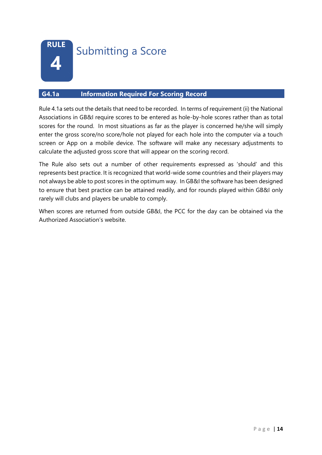<span id="page-14-0"></span>

### Submitting a Score

#### **G4.1a Information Required For Scoring Record**

Rule 4.1a sets out the details that need to be recorded. In terms of requirement (ii) the National Associations in GB&I require scores to be entered as hole-by-hole scores rather than as total scores for the round. In most situations as far as the player is concerned he/she will simply enter the gross score/no score/hole not played for each hole into the computer via a touch screen or App on a mobile device. The software will make any necessary adjustments to calculate the adjusted gross score that will appear on the scoring record.

The Rule also sets out a number of other requirements expressed as 'should' and this represents best practice. It is recognized that world-wide some countries and their players may not always be able to post scores in the optimum way. In GB&I the software has been designed to ensure that best practice can be attained readily, and for rounds played within GB&I only rarely will clubs and players be unable to comply.

When scores are returned from outside GB&I, the PCC for the day can be obtained via the Authorized Association's website.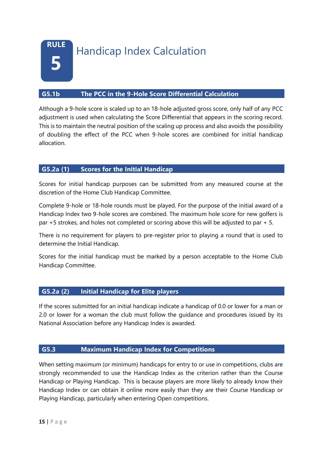<span id="page-15-0"></span>**RULE 5**

### Handicap Index Calculation

#### **G5.1b The PCC in the 9-Hole Score Differential Calculation**

Although a 9-hole score is scaled up to an 18-hole adjusted gross score, only half of any PCC adjustment is used when calculating the Score Differential that appears in the scoring record. This is to maintain the neutral position of the scaling up process and also avoids the possibility of doubling the effect of the PCC when 9-hole scores are combined for initial handicap allocation.

#### **G5.2a (1) Scores for the Initial Handicap**

Scores for initial handicap purposes can be submitted from any measured course at the discretion of the Home Club Handicap Committee.

Complete 9-hole or 18-hole rounds must be played. For the purpose of the initial award of a Handicap Index two 9-hole scores are combined. The maximum hole score for new golfers is par +5 strokes, and holes not completed or scoring above this will be adjusted to par + 5.

There is no requirement for players to pre-register prior to playing a round that is used to determine the Initial Handicap.

Scores for the initial handicap must be marked by a person acceptable to the Home Club Handicap Committee.

#### **G5.2a (2) Initial Handicap for Elite players**

If the scores submitted for an initial handicap indicate a handicap of 0.0 or lower for a man or 2.0 or lower for a woman the club must follow the quidance and procedures issued by its National Association before any Handicap Index is awarded.

#### **G5.3 Maximum Handicap Index for Competitions**

When setting maximum (or minimum) handicaps for entry to or use in competitions, clubs are strongly recommended to use the Handicap Index as the criterion rather than the Course Handicap or Playing Handicap. This is because players are more likely to already know their Handicap Index or can obtain it online more easily than they are their Course Handicap or Playing Handicap, particularly when entering Open competitions.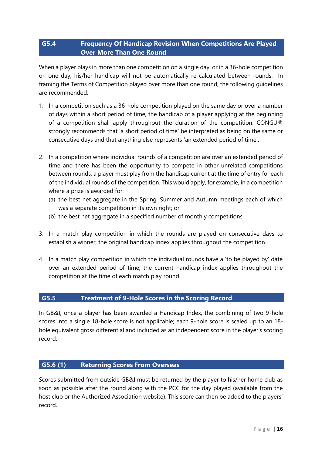#### **G5.4 Frequency Of Handicap Revision When Competitions Are Played Over More Than One Round**

When a player plays in more than one competition on a single day, or in a 36-hole competition on one day, his/her handicap will not be automatically re-calculated between rounds. In framing the Terms of Competition played over more than one round, the following guidelines are recommended:

- 1. In a competition such as a 36-hole competition played on the same day or over a number of days within a short period of time, the handicap of a player applying at the beginning of a competition shall apply throughout the duration of the competition. CONGU® strongly recommends that 'a short period of time' be interpreted as being on the same or consecutive days and that anything else represents 'an extended period of time'.
- 2. In a competition where individual rounds of a competition are over an extended period of time and there has been the opportunity to compete in other unrelated competitions between rounds, a player must play from the handicap current at the time of entry for each of the individual rounds of the competition. This would apply, for example, in a competition where a prize is awarded for:
	- (a) the best net aggregate in the Spring, Summer and Autumn meetings each of which was a separate competition in its own right; or
	- (b) the best net aggregate in a specified number of monthly competitions.
- 3. In a match play competition in which the rounds are played on consecutive days to establish a winner, the original handicap index applies throughout the competition.
- 4. In a match play competition in which the individual rounds have a 'to be played by' date over an extended period of time, the current handicap index applies throughout the competition at the time of each match play round.

#### **G5.5 Treatment of 9-Hole Scores in the Scoring Record**

In GB&I, once a player has been awarded a Handicap Index, the combining of two 9-hole scores into a single 18-hole score is not applicable; each 9-hole score is scaled up to an 18 hole equivalent gross differential and included as an independent score in the player's scoring record.

#### **G5.6 (1) Returning Scores From Overseas**

Scores submitted from outside GB&I must be returned by the player to his/her home club as soon as possible after the round along with the PCC for the day played (available from the host club or the Authorized Association website). This score can then be added to the players' record.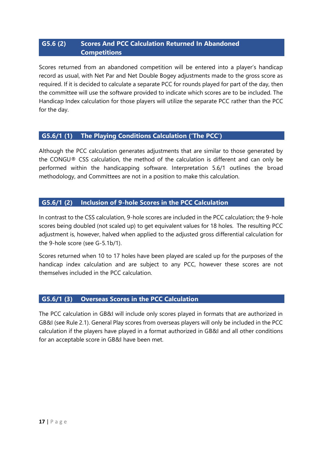#### **G5.6 (2) Scores And PCC Calculation Returned In Abandoned Competitions**

Scores returned from an abandoned competition will be entered into a player's handicap record as usual, with Net Par and Net Double Bogey adjustments made to the gross score as required. If it is decided to calculate a separate PCC for rounds played for part of the day, then the committee will use the software provided to indicate which scores are to be included. The Handicap Index calculation for those players will utilize the separate PCC rather than the PCC for the day.

#### **G5.6/1 (1) The Playing Conditions Calculation ('The PCC')**

Although the PCC calculation generates adjustments that are similar to those generated by the CONGU® CSS calculation, the method of the calculation is different and can only be performed within the handicapping software. Interpretation 5.6/1 outlines the broad methodology, and Committees are not in a position to make this calculation.

#### **G5.6/1 (2) Inclusion of 9-hole Scores in the PCC Calculation**

In contrast to the CSS calculation, 9-hole scores are included in the PCC calculation; the 9-hole scores being doubled (not scaled up) to get equivalent values for 18 holes. The resulting PCC adjustment is, however, halved when applied to the adjusted gross differential calculation for the 9-hole score (see G-5.1b/1).

Scores returned when 10 to 17 holes have been played are scaled up for the purposes of the handicap index calculation and are subject to any PCC, however these scores are not themselves included in the PCC calculation.

#### **G5.6/1 (3) Overseas Scores in the PCC Calculation**

The PCC calculation in GB&I will include only scores played in formats that are authorized in GB&I (see Rule 2.1). General Play scores from overseas players will only be included in the PCC calculation if the players have played in a format authorized in GB&I and all other conditions for an acceptable score in GB&I have been met.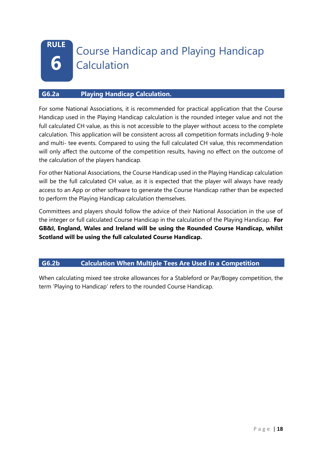#### <span id="page-18-0"></span>**RULE 6** Course Handicap and Playing Handicap **Calculation**

#### **G6.2a Playing Handicap Calculation.**

For some National Associations, it is recommended for practical application that the Course Handicap used in the Playing Handicap calculation is the rounded integer value and not the full calculated CH value, as this is not accessible to the player without access to the complete calculation. This application will be consistent across all competition formats including 9-hole and multi- tee events. Compared to using the full calculated CH value, this recommendation will only affect the outcome of the competition results, having no effect on the outcome of the calculation of the players handicap.

For other National Associations, the Course Handicap used in the Playing Handicap calculation will be the full calculated CH value, as it is expected that the player will always have ready access to an App or other software to generate the Course Handicap rather than be expected to perform the Playing Handicap calculation themselves.

Committees and players should follow the advice of their National Association in the use of the integer or full calculated Course Handicap in the calculation of the Playing Handicap. **For GB&I, England, Wales and Ireland will be using the Rounded Course Handicap, whilst Scotland will be using the full calculated Course Handicap.**

#### **G6.2b Calculation When Multiple Tees Are Used in a Competition**

When calculating mixed tee stroke allowances for a Stableford or Par/Bogey competition, the term 'Playing to Handicap' refers to the rounded Course Handicap.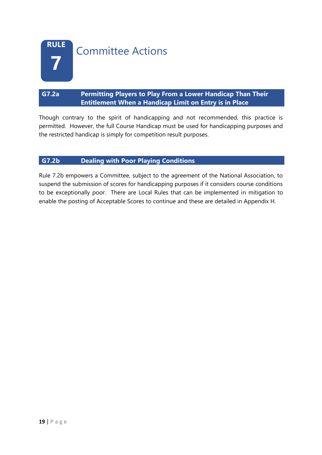<span id="page-19-0"></span>

#### **G7.2a Permitting Players to Play From a Lower Handicap Than Their Entitlement When a Handicap Limit on Entry is in Place**

Though contrary to the spirit of handicapping and not recommended, this practice is permitted. However, the full Course Handicap must be used for handicapping purposes and the restricted handicap is simply for competition result purposes.

#### **G7.2b Dealing with Poor Playing Conditions**

Rule 7.2b empowers a Committee, subject to the agreement of the National Association, to suspend the submission of scores for handicapping purposes if it considers course conditions to be exceptionally poor. There are Local Rules that can be implemented in mitigation to enable the posting of Acceptable Scores to continue and these are detailed in Appendix H.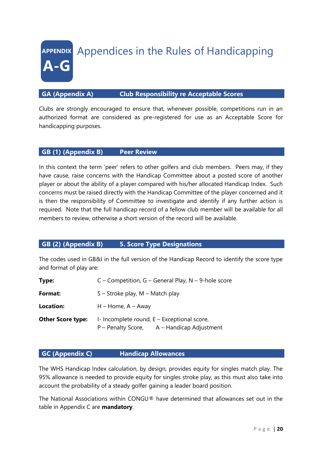**APPENDIX A-G** Appendices in the Rules of Handicapping

#### <span id="page-20-0"></span>**GA (Appendix A) Club Responsibility re Acceptable Scores**

Clubs are strongly encouraged to ensure that, whenever possible, competitions run in an authorized format are considered as pre-registered for use as an Acceptable Score for handicapping purposes.

#### <span id="page-20-1"></span>**GB (1) (Appendix B) Peer Review**

In this context the term 'peer' refers to other golfers and club members. Peers may, if they have cause, raise concerns with the Handicap Committee about a posted score of another player or about the ability of a player compared with his/her allocated Handicap Index. Such concerns must be raised directly with the Handicap Committee of the player concerned and it is then the responsibility of Committee to investigate and identify if any further action is required. Note that the full handicap record of a fellow club member will be available for all members to review, otherwise a short version of the record will be available.

#### **GB (2) (Appendix B) 5. Score Type Designations**

The codes used in GB&I in the full version of the Handicap Record to identify the score type and format of play are:

| Type:                    | C – Competition, G – General Play, N – 9-hole score                                             |  |  |  |
|--------------------------|-------------------------------------------------------------------------------------------------|--|--|--|
| Format:                  | $S -$ Stroke play, M – Match play                                                               |  |  |  |
| Location:                | $H -$ Home, $A -$ Away                                                                          |  |  |  |
| <b>Other Score type:</b> | I-Incomplete round, $E - Exceptional score$ ,<br>$P$ – Penalty Score, $A$ – Handicap Adjustment |  |  |  |

#### <span id="page-20-2"></span>**GC (Appendix C) Handicap Allowances**

The WHS Handicap Index calculation, by design, provides equity for singles match play. The 95% allowance is needed to provide equity for singles stroke play, as this must also take into account the probability of a steady golfer gaining a leader board position.

The National Associations within CONGU® have determined that allowances set out in the table in Appendix C are **mandatory**.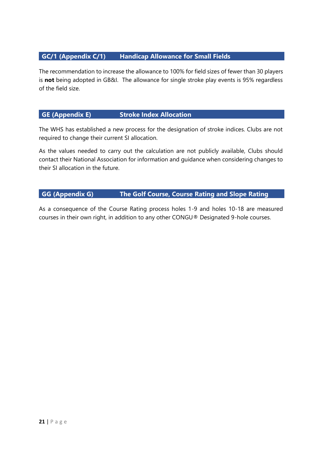#### **GC/1 (Appendix C/1) Handicap Allowance for Small Fields**

The recommendation to increase the allowance to 100% for field sizes of fewer than 30 players is **not** being adopted in GB&I. The allowance for single stroke play events is 95% regardless of the field size.

#### <span id="page-21-0"></span>**GE (Appendix E) Stroke Index Allocation**

The WHS has established a new process for the designation of stroke indices. Clubs are not required to change their current SI allocation.

As the values needed to carry out the calculation are not publicly available, Clubs should contact their National Association for information and guidance when considering changes to their SI allocation in the future.

#### <span id="page-21-1"></span>**GG (Appendix G) The Golf Course, Course Rating and Slope Rating**

As a consequence of the Course Rating process holes 1-9 and holes 10-18 are measured courses in their own right, in addition to any other CONGU® Designated 9-hole courses.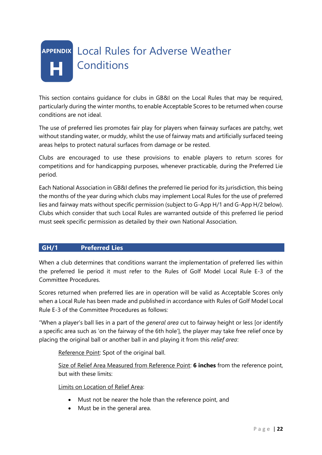### <span id="page-22-0"></span>**APPENDIX** Local Rules for Adverse Weather **H** Conditions

This section contains guidance for clubs in GB&I on the Local Rules that may be required, particularly during the winter months, to enable Acceptable Scores to be returned when course conditions are not ideal.

The use of preferred lies promotes fair play for players when fairway surfaces are patchy, wet without standing water, or muddy, whilst the use of fairway mats and artificially surfaced teeing areas helps to protect natural surfaces from damage or be rested.

Clubs are encouraged to use these provisions to enable players to return scores for competitions and for handicapping purposes, whenever practicable, during the Preferred Lie period.

Each National Association in GB&I defines the preferred lie period for its jurisdiction, this being the months of the year during which clubs may implement Local Rules for the use of preferred lies and fairway mats without specific permission (subject to G-App H/1 and G-App H/2 below). Clubs which consider that such Local Rules are warranted outside of this preferred lie period must seek specific permission as detailed by their own National Association.

#### **GH/1 Preferred Lies**

When a club determines that conditions warrant the implementation of preferred lies within the preferred lie period it must refer to the Rules of Golf Model Local Rule E-3 of the Committee Procedures.

Scores returned when preferred lies are in operation will be valid as Acceptable Scores only when a Local Rule has been made and published in accordance with Rules of Golf Model Local Rule E-3 of the Committee Procedures as follows:

"When a player's ball lies in a part of the *general area* cut to fairway height or less [or identify a specific area such as 'on the fairway of the 6th hole'], the player may take free relief once by placing the original ball or another ball in and playing it from this *relief area*:

Reference Point: Spot of the original ball.

Size of Relief Area Measured from Reference Point: **6 inches** from the reference point, but with these limits:

Limits on Location of Relief Area:

- Must not be nearer the hole than the reference point, and
- Must be in the general area.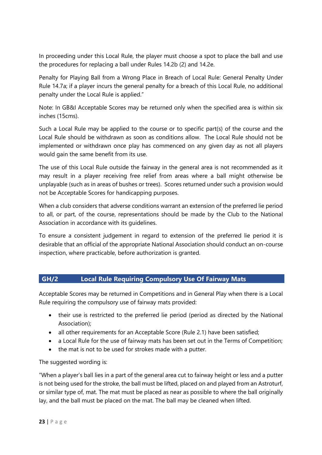In proceeding under this Local Rule, the player must choose a spot to place the ball and use the procedures for replacing a ball under Rules 14.2b (2) and 14.2e.

Penalty for Playing Ball from a Wrong Place in Breach of Local Rule: General Penalty Under Rule 14.7a; if a player incurs the general penalty for a breach of this Local Rule, no additional penalty under the Local Rule is applied."

Note: In GB&I Acceptable Scores may be returned only when the specified area is within six inches (15cms).

Such a Local Rule may be applied to the course or to specific part(s) of the course and the Local Rule should be withdrawn as soon as conditions allow. The Local Rule should not be implemented or withdrawn once play has commenced on any given day as not all players would gain the same benefit from its use.

The use of this Local Rule outside the fairway in the general area is not recommended as it may result in a player receiving free relief from areas where a ball might otherwise be unplayable (such as in areas of bushes or trees). Scores returned under such a provision would not be Acceptable Scores for handicapping purposes.

When a club considers that adverse conditions warrant an extension of the preferred lie period to all, or part, of the course, representations should be made by the Club to the National Association in accordance with its guidelines.

To ensure a consistent judgement in regard to extension of the preferred lie period it is desirable that an official of the appropriate National Association should conduct an on-course inspection, where practicable, before authorization is granted.

#### **GH/2 Local Rule Requiring Compulsory Use Of Fairway Mats**

Acceptable Scores may be returned in Competitions and in General Play when there is a Local Rule requiring the compulsory use of fairway mats provided:

- their use is restricted to the preferred lie period (period as directed by the National Association);
- all other requirements for an Acceptable Score (Rule 2.1) have been satisfied;
- a Local Rule for the use of fairway mats has been set out in the Terms of Competition;
- the mat is not to be used for strokes made with a putter.

#### The suggested wording is:

"When a player's ball lies in a part of the general area cut to fairway height or less and a putter is not being used for the stroke, the ball must be lifted, placed on and played from an Astroturf, or similar type of, mat. The mat must be placed as near as possible to where the ball originally lay, and the ball must be placed on the mat. The ball may be cleaned when lifted.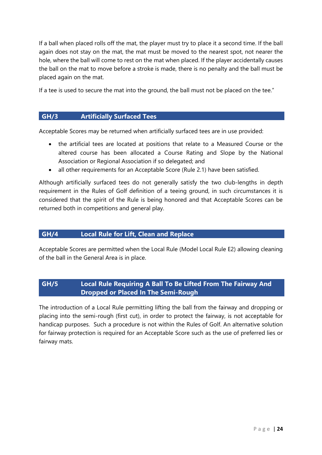If a ball when placed rolls off the mat, the player must try to place it a second time. If the ball again does not stay on the mat, the mat must be moved to the nearest spot, not nearer the hole, where the ball will come to rest on the mat when placed. If the player accidentally causes the ball on the mat to move before a stroke is made, there is no penalty and the ball must be placed again on the mat.

If a tee is used to secure the mat into the ground, the ball must not be placed on the tee."

#### **GH/3 Artificially Surfaced Tees**

Acceptable Scores may be returned when artificially surfaced tees are in use provided:

- the artificial tees are located at positions that relate to a Measured Course or the altered course has been allocated a Course Rating and Slope by the National Association or Regional Association if so delegated; and
- all other requirements for an Acceptable Score (Rule 2.1) have been satisfied.

Although artificially surfaced tees do not generally satisfy the two club-lengths in depth requirement in the Rules of Golf definition of a teeing ground, in such circumstances it is considered that the spirit of the Rule is being honored and that Acceptable Scores can be returned both in competitions and general play.

#### **GH/4 Local Rule for Lift, Clean and Replace**

Acceptable Scores are permitted when the Local Rule (Model Local Rule E2) allowing cleaning of the ball in the General Area is in place.

#### **GH/5 Local Rule Requiring A Ball To Be Lifted From The Fairway And Dropped or Placed In The Semi-Rough**

The introduction of a Local Rule permitting lifting the ball from the fairway and dropping or placing into the semi-rough (first cut), in order to protect the fairway, is not acceptable for handicap purposes. Such a procedure is not within the Rules of Golf. An alternative solution for fairway protection is required for an Acceptable Score such as the use of preferred lies or fairway mats.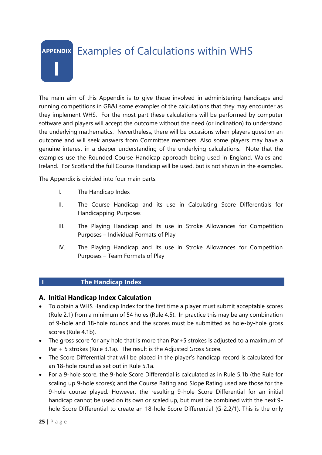### <span id="page-25-0"></span>**APPENDIX I** Examples of Calculations within WHS

The main aim of this Appendix is to give those involved in administering handicaps and running competitions in GB&I some examples of the calculations that they may encounter as they implement WHS. For the most part these calculations will be performed by computer software and players will accept the outcome without the need (or inclination) to understand the underlying mathematics. Nevertheless, there will be occasions when players question an outcome and will seek answers from Committee members. Also some players may have a genuine interest in a deeper understanding of the underlying calculations. Note that the examples use the Rounded Course Handicap approach being used in England, Wales and Ireland. For Scotland the full Course Handicap will be used, but is not shown in the examples.

The Appendix is divided into four main parts:

- I. The Handicap Index
- II. The Course Handicap and its use in Calculating Score Differentials for Handicapping Purposes
- III. The Playing Handicap and its use in Stroke Allowances for Competition Purposes – Individual Formats of Play
- IV. The Playing Handicap and its use in Stroke Allowances for Competition Purposes – Team Formats of Play

#### <span id="page-25-1"></span>**I The Handicap Index**

#### **A. Initial Handicap Index Calculation**

- To obtain a WHS Handicap Index for the first time a player must submit acceptable scores (Rule 2.1) from a minimum of 54 holes (Rule 4.5). In practice this may be any combination of 9-hole and 18-hole rounds and the scores must be submitted as hole-by-hole gross scores (Rule 4.1b).
- The gross score for any hole that is more than Par+5 strokes is adjusted to a maximum of Par + 5 strokes (Rule 3.1a). The result is the Adjusted Gross Score.
- The Score Differential that will be placed in the player's handicap record is calculated for an 18-hole round as set out in Rule 5.1a.
- For a 9-hole score, the 9-hole Score Differential is calculated as in Rule 5.1b (the Rule for scaling up 9-hole scores); and the Course Rating and Slope Rating used are those for the 9-hole course played. However, the resulting 9-hole Score Differential for an initial handicap cannot be used on its own or scaled up, but must be combined with the next 9 hole Score Differential to create an 18-hole Score Differential (G-2.2/1). This is the only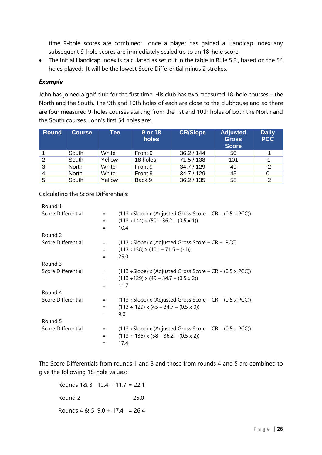time 9-hole scores are combined: once a player has gained a Handicap Index any subsequent 9-hole scores are immediately scaled up to an 18-hole score.

• The Initial Handicap Index is calculated as set out in the table in Rule 5.2., based on the 54 holes played. It will be the lowest Score Differential minus 2 strokes.

#### *Example*

John has joined a golf club for the first time. His club has two measured 18-hole courses – the North and the South. The 9th and 10th holes of each are close to the clubhouse and so there are four measured 9-holes courses starting from the 1st and 10th holes of both the North and the South courses. John's first 54 holes are:

| <b>Round</b> | <b>Course</b> | <b>Tee</b> | 9 or 18<br>holes | <b>CR/Slope</b> | <b>Adjusted</b><br><b>Gross</b><br><b>Score</b> | <b>Daily</b><br><b>PCC</b> |
|--------------|---------------|------------|------------------|-----------------|-------------------------------------------------|----------------------------|
|              | South         | White      | Front 9          | 36.2 / 144      | 50                                              | $+1$                       |
| 2            | South         | Yellow     | 18 holes         | 71.5/138        | 101                                             | -1                         |
| 3            | North         | White      | Front 9          | 34.7 / 129      | 49                                              | $+2$                       |
|              | <b>North</b>  | White      | Front 9          | 34.7 / 129      | 45                                              | 0                          |
| 5            | South         | Yellow     | Back 9           | 36.2 / 135      | 58                                              | $+2$                       |

Calculating the Score Differentials:

| Round 1            |     |                                                                               |
|--------------------|-----|-------------------------------------------------------------------------------|
| Score Differential | $=$ | $(113 \div \text{Slope})$ x (Adjusted Gross Score – CR – $(0.5 \times PCC)$ ) |
|                    | $=$ | $(113 \div 144) \times (50 - 36.2 - (0.5 \times 1))$                          |
|                    | $=$ | 10.4                                                                          |
| Round 2            |     |                                                                               |
| Score Differential | $=$ | $(113 \div \text{Slope})$ x (Adjusted Gross Score – CR – PCC)                 |
|                    | $=$ | $(113 \div 138) \times (101 - 71.5 - (-1))$                                   |
|                    | $=$ | 25.0                                                                          |
| Round 3            |     |                                                                               |
| Score Differential | $=$ | $(113 \div \text{Slope})$ x (Adjusted Gross Score – CR – $(0.5 \times PCC)$ ) |
|                    | $=$ | $(113 \div 129) \times (49 - 34.7 - (0.5 \times 2))$                          |
|                    | $=$ | 11.7                                                                          |
| Round 4            |     |                                                                               |
| Score Differential | $=$ | $(113 \div \text{Slope})$ x (Adjusted Gross Score – CR – $(0.5 \times PCC)$ ) |
|                    | $=$ | $(113 \div 129) \times (45 - 34.7 - (0.5 \times 0))$                          |
|                    | $=$ | 9.0                                                                           |
| Round 5            |     |                                                                               |
| Score Differential | $=$ | $(113 \div \text{Slope})$ x (Adjusted Gross Score – CR – $(0.5 \times PCC)$ ) |
|                    | $=$ | $(113 \div 135) \times (58 - 36.2 - (0.5 \times 2))$                          |
|                    | Ξ   | 17.4                                                                          |
|                    |     |                                                                               |

The Score Differentials from rounds 1 and 3 and those from rounds 4 and 5 are combined to give the following 18-hole values:

Rounds 1& 3 10.4 + 11.7 = 22.1 Round 2 25.0 Rounds 4 & 5  $9.0 + 17.4 = 26.4$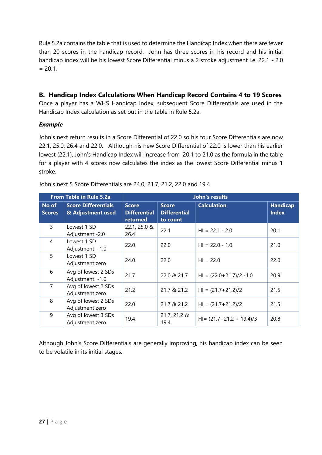Rule 5.2a contains the table that is used to determine the Handicap Index when there are fewer than 20 scores in the handicap record. John has three scores in his record and his initial handicap index will be his lowest Score Differential minus a 2 stroke adjustment i.e. 22.1 - 2.0  $= 20.1.$ 

**B. Handicap Index Calculations When Handicap Record Contains 4 to 19 Scores** Once a player has a WHS Handicap Index, subsequent Score Differentials are used in the Handicap Index calculation as set out in the table in Rule 5.2a.

#### *Example*

John's next return results in a Score Differential of 22.0 so his four Score Differentials are now 22.1, 25.0, 26.4 and 22.0. Although his new Score Differential of 22.0 is lower than his earlier lowest (22.1), John's Handicap Index will increase from 20.1 to 21.0 as the formula in the table for a player with 4 scores now calculates the index as the lowest Score Differential minus 1 stroke.

| <b>From Table in Rule 5.2a</b> |                                                 | John's results                                  |                                                 |                              |                                 |  |  |
|--------------------------------|-------------------------------------------------|-------------------------------------------------|-------------------------------------------------|------------------------------|---------------------------------|--|--|
| No of<br><b>Scores</b>         | <b>Score Differentials</b><br>& Adjustment used | <b>Score</b><br><b>Differential</b><br>returned | <b>Score</b><br><b>Differential</b><br>to count | <b>Calculation</b>           | <b>Handicap</b><br><b>Index</b> |  |  |
| 3                              | Lowest 1 SD<br>Adjustment -2.0                  | 22.1, 25.0 &<br>26.4                            | 22.1                                            | $HI = 22.1 - 2.0$            | 20.1                            |  |  |
| $\overline{4}$                 | Lowest 1 SD<br>Adjustment -1.0                  | 22.0                                            | 22.0                                            | $HI = 22.0 - 1.0$            | 21.0                            |  |  |
| 5                              | Lowest 1 SD<br>Adjustment zero                  | 24.0                                            | 22.0                                            | $HI = 22.0$                  | 22.0                            |  |  |
| 6                              | Avg of lowest 2 SDs<br>Adjustment -1.0          | 21.7                                            | 22.0 & 21.7                                     | $HI = (22.0 + 21.7)/2 - 1.0$ | 20.9                            |  |  |
| $\overline{7}$                 | Avg of lowest 2 SDs<br>Adjustment zero          | 21.2                                            | 21.7 & 21.2                                     | $HI = (21.7 + 21.2)/2$       | 21.5                            |  |  |
| 8                              | Avg of lowest 2 SDs<br>Adjustment zero          | 22.0                                            | 21.7 & 21.2                                     | $HI = (21.7 + 21.2)/2$       | 21.5                            |  |  |
| 9                              | Avg of lowest 3 SDs<br>Adjustment zero          | 19.4                                            | 21.7, 21.2 &<br>19.4                            | HI= $(21.7+21.2 + 19.4)/3$   | 20.8                            |  |  |

John's next 5 Score Differentials are 24.0, 21.7, 21.2, 22.0 and 19.4

Although John's Score Differentials are generally improving, his handicap index can be seen to be volatile in its initial stages.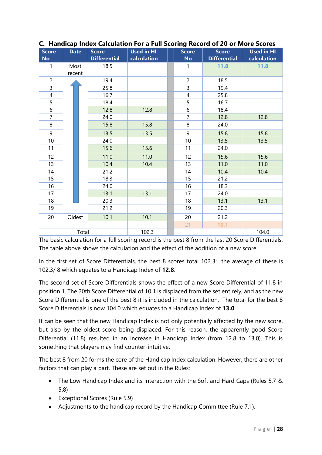| <b>Score</b><br><b>No</b> | <b>Date</b> | <b>Score</b><br><b>Differential</b> | <b>Used in HI</b><br>calculation | <b>Score</b><br><b>No</b> | <b>Score</b><br><b>Differential</b> | <b>Used in HI</b><br>calculation |
|---------------------------|-------------|-------------------------------------|----------------------------------|---------------------------|-------------------------------------|----------------------------------|
| 1                         | Most        | 18.5                                |                                  | $\mathbf{1}$              | 11.8                                | 11.8                             |
|                           | recent      |                                     |                                  |                           |                                     |                                  |
| $\overline{c}$            |             | 19.4                                |                                  | $\overline{2}$            | 18.5                                |                                  |
| 3                         |             | 25.8                                |                                  | 3                         | 19.4                                |                                  |
| 4                         |             | 16.7                                |                                  | $\overline{\mathcal{A}}$  | 25.8                                |                                  |
| 5                         |             | 18.4                                |                                  | 5                         | 16.7                                |                                  |
| 6                         |             | 12.8                                | 12.8                             | 6                         | 18.4                                |                                  |
| $\overline{7}$            |             | 24.0                                |                                  | $\overline{7}$            | 12.8                                | 12.8                             |
| 8                         |             | 15.8                                | 15.8                             | 8                         | 24.0                                |                                  |
| 9                         |             | 13.5                                | 13.5                             | 9                         | 15.8                                | 15.8                             |
| 10                        |             | 24.0                                |                                  | $10$                      | 13.5                                | 13.5                             |
| 11                        |             | 15.6                                | 15.6                             | 11                        | 24.0                                |                                  |
| 12                        |             | 11.0                                | 11.0                             | 12                        | 15.6                                | 15.6                             |
| 13                        |             | 10.4                                | 10.4                             | 13                        | 11.0                                | 11.0                             |
| 14                        |             | 21.2                                |                                  | 14                        | 10.4                                | 10.4                             |
| 15                        |             | 18.3                                |                                  | 15                        | 21.2                                |                                  |
| 16                        |             | 24.0                                |                                  | 16                        | 18.3                                |                                  |
| 17                        |             | 13.1                                | 13.1                             | 17                        | 24.0                                |                                  |
| 18                        |             | 20.3                                |                                  | 18                        | 13.1                                | 13.1                             |
| 19                        |             | 21.2                                |                                  | 19                        | 20.3                                |                                  |
| 20                        | Oldest      | 10.1                                | 10.1                             | 20                        | 21.2                                |                                  |
|                           |             |                                     | 21                               | 10.1                      |                                     |                                  |
|                           | Total       |                                     | 102.3                            |                           |                                     | 104.0                            |

#### **C. Handicap Index Calculation For a Full Scoring Record of 20 or More Scores**

The basic calculation for a full scoring record is the best 8 from the last 20 Score Differentials. The table above shows the calculation and the effect of the addition of a new score.

In the first set of Score Differentials, the best 8 scores total 102.3: the average of these is 102.3/ 8 which equates to a Handicap Index of **12.8**.

The second set of Score Differentials shows the effect of a new Score Differential of 11.8 in position 1. The 20th Score Differential of 10.1 is displaced from the set entirely, and as the new Score Differential is one of the best 8 it is included in the calculation. The total for the best 8 Score Differentials is now 104.0 which equates to a Handicap Index of **13.0**.

It can be seen that the new Handicap Index is not only potentially affected by the new score, but also by the oldest score being displaced. For this reason, the apparently good Score Differential (11.8) resulted in an increase in Handicap Index (from 12.8 to 13.0). This is something that players may find counter-intuitive.

The best 8 from 20 forms the core of the Handicap Index calculation. However, there are other factors that can play a part. These are set out in the Rules:

- The Low Handicap Index and its interaction with the Soft and Hard Caps (Rules 5.7 & 5.8)
- Exceptional Scores (Rule 5.9)
- Adjustments to the handicap record by the Handicap Committee (Rule 7.1).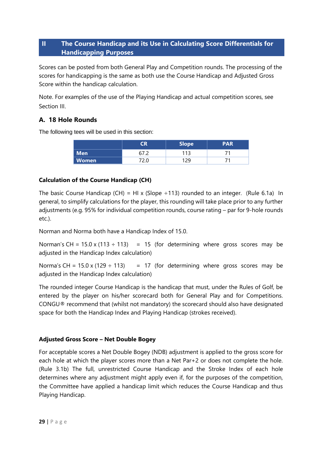#### <span id="page-29-0"></span>**II The Course Handicap and its Use in Calculating Score Differentials for Handicapping Purposes**

Scores can be posted from both General Play and Competition rounds. The processing of the scores for handicapping is the same as both use the Course Handicap and Adjusted Gross Score within the handicap calculation.

Note. For examples of the use of the Playing Handicap and actual competition scores, see **Section III.** 

#### **A. 18 Hole Rounds**

The following tees will be used in this section:

|              | CR     | <b>Slope</b> | <b>PAR</b> |
|--------------|--------|--------------|------------|
| Men          | ~-     | 11)          |            |
| <b>Women</b> | $\sim$ | סכו          |            |

#### **Calculation of the Course Handicap (CH)**

The basic Course Handicap (CH) = HI x (Slope  $\div$ 113) rounded to an integer. (Rule 6.1a) In general, to simplify calculations for the player, this rounding will take place prior to any further adjustments (e.g. 95% for individual competition rounds, course rating – par for 9-hole rounds etc.).

Norman and Norma both have a Handicap Index of 15.0.

Norman's CH =  $15.0 \times (113 \div 113)$  = 15 (for determining where gross scores may be adjusted in the Handicap Index calculation)

Norma's CH =  $15.0 \times (129 \div 113)$  = 17 (for determining where gross scores may be adjusted in the Handicap Index calculation)

The rounded integer Course Handicap is the handicap that must, under the Rules of Golf, be entered by the player on his/her scorecard both for General Play and for Competitions. CONGU® recommend that (whilst not mandatory) the scorecard should also have designated space for both the Handicap Index and Playing Handicap (strokes received).

#### **Adjusted Gross Score – Net Double Bogey**

For acceptable scores a Net Double Bogey (NDB) adjustment is applied to the gross score for each hole at which the player scores more than a Net Par+2 or does not complete the hole. (Rule 3.1b) The full, unrestricted Course Handicap and the Stroke Index of each hole determines where any adjustment might apply even if, for the purposes of the competition, the Committee have applied a handicap limit which reduces the Course Handicap and thus Playing Handicap.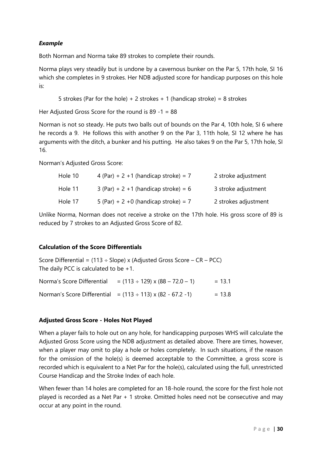#### *Example*

Both Norman and Norma take 89 strokes to complete their rounds.

Norma plays very steadily but is undone by a cavernous bunker on the Par 5, 17th hole, SI 16 which she completes in 9 strokes. Her NDB adjusted score for handicap purposes on this hole is:

5 strokes (Par for the hole) + 2 strokes + 1 (handicap stroke) = 8 strokes

Her Adjusted Gross Score for the round is 89 -1 = 88

Norman is not so steady. He puts two balls out of bounds on the Par 4, 10th hole, SI 6 where he records a 9. He follows this with another 9 on the Par 3, 11th hole, SI 12 where he has arguments with the ditch, a bunker and his putting. He also takes 9 on the Par 5, 17th hole, SI 16.

Norman's Adjusted Gross Score:

| Hole 10 | 4 (Par) + $2 + 1$ (handicap stroke) = 7 | 2 stroke adjustment  |
|---------|-----------------------------------------|----------------------|
| Hole 11 | $3$ (Par) + 2 +1 (handicap stroke) = 6  | 3 stroke adjustment  |
| Hole 17 | 5 (Par) + 2 + 0 (handicap stroke) = 7   | 2 strokes adjustment |

Unlike Norma, Norman does not receive a stroke on the 17th hole. His gross score of 89 is reduced by 7 strokes to an Adjusted Gross Score of 82.

#### **Calculation of the Score Differentials**

Score Differential =  $(113 \div \text{Slope})$  x (Adjusted Gross Score – CR – PCC) The daily PCC is calculated to be +1. Norma's Score Differential =  $(113 \div 129) \times (88 - 72.0 - 1)$  = 13.1 Norman's Score Differential =  $(113 \div 113)$  x  $(82 - 67.2 -1)$  = 13.8

#### **Adjusted Gross Score - Holes Not Played**

When a player fails to hole out on any hole, for handicapping purposes WHS will calculate the Adjusted Gross Score using the NDB adjustment as detailed above. There are times, however, when a player may omit to play a hole or holes completely. In such situations, if the reason for the omission of the hole(s) is deemed acceptable to the Committee, a gross score is recorded which is equivalent to a Net Par for the hole(s), calculated using the full, unrestricted Course Handicap and the Stroke Index of each hole.

When fewer than 14 holes are completed for an 18-hole round, the score for the first hole not played is recorded as a Net Par + 1 stroke. Omitted holes need not be consecutive and may occur at any point in the round.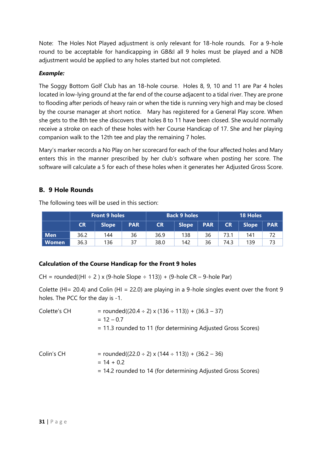Note: The Holes Not Played adjustment is only relevant for 18-hole rounds. For a 9-hole round to be acceptable for handicapping in GB&I all 9 holes must be played and a NDB adjustment would be applied to any holes started but not completed.

#### *Example:*

The Soggy Bottom Golf Club has an 18-hole course. Holes 8, 9, 10 and 11 are Par 4 holes located in low-lying ground at the far end of the course adjacent to a tidal river. They are prone to flooding after periods of heavy rain or when the tide is running very high and may be closed by the course manager at short notice. Mary has registered for a General Play score. When she gets to the 8th tee she discovers that holes 8 to 11 have been closed. She would normally receive a stroke on each of these holes with her Course Handicap of 17. She and her playing companion walk to the 12th tee and play the remaining 7 holes.

Mary's marker records a No Play on her scorecard for each of the four affected holes and Mary enters this in the manner prescribed by her club's software when posting her score. The software will calculate a 5 for each of these holes when it generates her Adjusted Gross Score.

#### **B. 9 Hole Rounds**

The following tees will be used in this section:

|              | <b>Front 9 holes</b> |              |            | <b>Back 9 holes</b> |              |            | <b>18 Holes</b> |              |            |
|--------------|----------------------|--------------|------------|---------------------|--------------|------------|-----------------|--------------|------------|
|              | <b>CR</b>            | <b>Slope</b> | <b>PAR</b> | <b>CR</b>           | <b>Slope</b> | <b>PAR</b> | <b>CR</b>       | <b>Slope</b> | <b>PAR</b> |
| <b>Men</b>   | 36.2                 | 144          | 36         | 36.9                | 138          | 36         | 73.1            | 141          |            |
| <b>Women</b> | 36.3                 | 136          | 37         | 38.0                | 142          | 36         | 74.3            | 139          |            |

#### **Calculation of the Course Handicap for the Front 9 holes**

CH = rounded((HI  $\div$  2) x (9-hole Slope  $\div$  113)) + (9-hole CR – 9-hole Par)

Colette (HI= 20.4) and Colin (HI = 22.0) are playing in a 9-hole singles event over the front 9 holes. The PCC for the day is -1.

| Colette's CH | = rounded( $(20.4 \div 2) \times (136 \div 113)$ ) + $(36.3 - 37)$<br>$= 12 - 0.7$<br>= 11.3 rounded to 11 (for determining Adjusted Gross Scores) |
|--------------|----------------------------------------------------------------------------------------------------------------------------------------------------|
| Colin's CH   | = rounded((22.0 $\div$ 2) x (144 $\div$ 113)) + (36.2 – 36)<br>$= 14 + 0.2$<br>= 14.2 rounded to 14 (for determining Adjusted Gross Scores)        |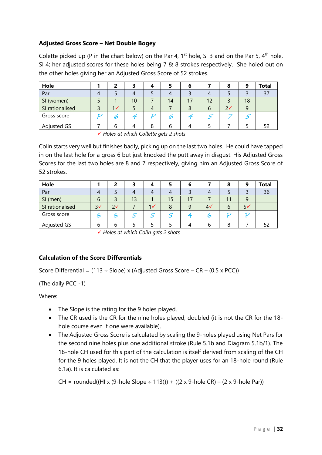#### **Adjusted Gross Score – Net Double Bogey**

Colette picked up (P in the chart below) on the Par 4, 1<sup>st</sup> hole, SI 3 and on the Par 5, 4<sup>th</sup> hole, SI 4; her adjusted scores for these holes being 7 & 8 strokes respectively. She holed out on the other holes giving her an Adjusted Gross Score of 52 strokes.

| Hole               |   |                        |    |   |    | b  |    | 8 | g  | <b>Total</b> |
|--------------------|---|------------------------|----|---|----|----|----|---|----|--------------|
| Par                | 4 |                        | 4  |   |    |    |    |   |    | 37           |
| SI (women)         | 5 |                        | 10 |   | 14 | 17 | 12 |   | 18 |              |
| SI rationalised    |   | $\mathsf{I}\mathsf{v}$ |    | 4 |    | 8  | 6  |   | a  |              |
| Gross score        |   | 6                      |    |   | ∞  |    |    |   |    |              |
| <b>Adjusted GS</b> |   | h                      |    | 8 |    |    |    |   |    | 52           |

✓ *Holes at which Collette gets 2 shots*

Colin starts very well but finishes badly, picking up on the last two holes. He could have tapped in on the last hole for a gross 6 but just knocked the putt away in disgust. His Adjusted Gross Scores for the last two holes are 8 and 7 respectively, giving him an Adjusted Gross Score of 52 strokes.

| Hole               |               |                |    |                |    | 6  |                |   | 9              | Total |
|--------------------|---------------|----------------|----|----------------|----|----|----------------|---|----------------|-------|
| Par                | 4             |                |    |                |    |    |                |   |                | 36    |
| SI (men)           | 6             |                | 13 |                | 15 | 17 |                |   | 9              |       |
| SI rationalised    | $3\checkmark$ | $\overline{2}$ |    | 1 <sub>v</sub> |    | q  | 4 <sub>1</sub> | n | 5 <sub>1</sub> |       |
| Gross score        | 6             | ທ              |    |                |    |    | r              |   |                |       |
| <b>Adjusted GS</b> | ь             | ь              |    |                |    |    |                |   |                |       |

✓ *Holes at which Colin gets 2 shots*

#### **Calculation of the Score Differentials**

Score Differential =  $(113 \div \text{Slope})$  x (Adjusted Gross Score – CR –  $(0.5 \times PCC)$ )

(The daily PCC -1)

Where:

- The Slope is the rating for the 9 holes played.
- The CR used is the CR for the nine holes played, doubled (it is not the CR for the 18 hole course even if one were available).
- The Adjusted Gross Score is calculated by scaling the 9-holes played using Net Pars for the second nine holes plus one additional stroke (Rule 5.1b and Diagram 5.1b/1). The 18-hole CH used for this part of the calculation is itself derived from scaling of the CH for the 9 holes played. It is not the CH that the player uses for an 18-hole round (Rule 6.1a). It is calculated as:

CH = rounded((HI x (9-hole Slope  $\div$  113))) + ((2 x 9-hole CR) – (2 x 9-hole Par))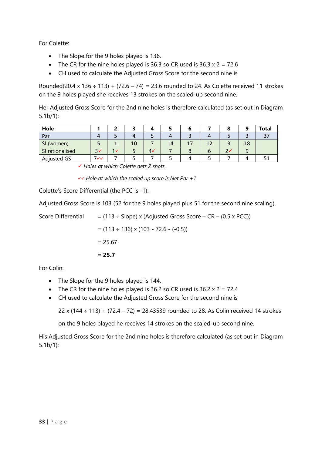For Colette:

- The Slope for the 9 holes played is 136.
- The CR for the nine holes played is 36.3 so CR used is  $36.3 \times 2 = 72.6$
- CH used to calculate the Adjusted Gross Score for the second nine is

Rounded(20.4 x 136  $\div$  113) + (72.6 – 74) = 23.6 rounded to 24. As Colette received 11 strokes on the 9 holes played she receives 13 strokes on the scaled-up second nine.

Her Adjusted Gross Score for the 2nd nine holes is therefore calculated (as set out in Diagram 5.1b/1):

| Hole               |               |    |             |    |   |   | o  | Total |
|--------------------|---------------|----|-------------|----|---|---|----|-------|
| Par                | 4             |    |             |    |   |   |    | 37    |
| SI (women)         | ⊃             | 10 |             | 14 |   |   | 18 |       |
| SI rationalised    | 3v            |    | $4\sqrt{ }$ |    | O | ے |    |       |
| <b>Adjusted GS</b> | $7\checkmark$ |    |             |    |   |   |    |       |

✓ *Holes at which Colette gets 2 shots.*

✓✓ *Hole at which the scaled up score is Net Par +1*

Colette's Score Differential (the PCC is -1):

Adjusted Gross Score is 103 (52 for the 9 holes played plus 51 for the second nine scaling).

Score Differential  $= (113 \div \text{Slope}) \times (\text{Adjusted Gross Score} - \text{CR} - (0.5 \times \text{PCC}))$ 

 $=$  (113  $\div$  136) x (103 - 72.6 - (-0.5))  $= 25.67$ = **25.7**

For Colin:

- The Slope for the 9 holes played is 144.
- The CR for the nine holes played is 36.2 so CR used is  $36.2 \times 2 = 72.4$
- CH used to calculate the Adjusted Gross Score for the second nine is

22 x (144  $\div$  113) + (72.4 – 72) = 28.43539 rounded to 28. As Colin received 14 strokes

on the 9 holes played he receives 14 strokes on the scaled-up second nine.

His Adjusted Gross Score for the 2nd nine holes is therefore calculated (as set out in Diagram 5.1b/1):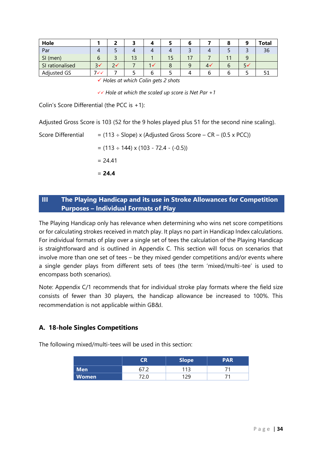| Hole               |             |    |     |             |    | Total |
|--------------------|-------------|----|-----|-------------|----|-------|
| Par                |             |    |     |             |    | 36    |
| SI (men)           | $\mathbf b$ | 13 | כ ו |             |    |       |
| SI rationalised    | 3v          |    |     | $4^{\circ}$ | יכ |       |
| <b>Adjusted GS</b> | 7√√         |    |     |             |    |       |

✓ *Holes at which Colin gets 2 shots*

✓✓ *Hole at which the scaled up score is Net Par +1*

Colin's Score Differential (the PCC is +1):

Adjusted Gross Score is 103 (52 for the 9 holes played plus 51 for the second nine scaling).

Score Differential  $= (113 \div \text{Slope}) \times (\text{Adjusted Gross Score} - \text{CR} - (0.5 \times \text{PCC}))$  $=$  (113  $\div$  144) x (103 - 72.4 - (-0.5))  $= 24.41$ = **24.4**

#### <span id="page-34-0"></span>**III The Playing Handicap and its use in Stroke Allowances for Competition Purposes – Individual Formats of Play**

The Playing Handicap only has relevance when determining who wins net score competitions or for calculating strokes received in match play. It plays no part in Handicap Index calculations. For individual formats of play over a single set of tees the calculation of the Playing Handicap is straightforward and is outlined in Appendix C. This section will focus on scenarios that involve more than one set of tees – be they mixed gender competitions and/or events where a single gender plays from different sets of tees (the term 'mixed/multi-tee' is used to encompass both scenarios).

Note: Appendix C/1 recommends that for individual stroke play formats where the field size consists of fewer than 30 players, the handicap allowance be increased to 100%. This recommendation is not applicable within GB&I.

#### **A. 18-hole Singles Competitions**

The following mixed/multi-tees will be used in this section:

|            | R | <b>Slope</b> | PAR |
|------------|---|--------------|-----|
| <b>Men</b> |   | 112          |     |
| Momen      |   | 1 J Q        |     |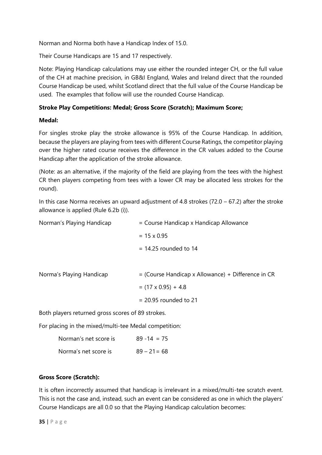Norman and Norma both have a Handicap Index of 15.0.

Their Course Handicaps are 15 and 17 respectively.

Note: Playing Handicap calculations may use either the rounded integer CH, or the full value of the CH at machine precision, in GB&I England, Wales and Ireland direct that the rounded Course Handicap be used, whilst Scotland direct that the full value of the Course Handicap be used. The examples that follow will use the rounded Course Handicap.

#### **Stroke Play Competitions: Medal; Gross Score (Scratch); Maximum Score;**

#### **Medal:**

For singles stroke play the stroke allowance is 95% of the Course Handicap. In addition, because the players are playing from tees with different Course Ratings, the competitor playing over the higher rated course receives the difference in the CR values added to the Course Handicap after the application of the stroke allowance.

(Note: as an alternative, if the majority of the field are playing from the tees with the highest CR then players competing from tees with a lower CR may be allocated less strokes for the round).

In this case Norma receives an upward adjustment of 4.8 strokes  $(72.0 - 67.2)$  after the stroke allowance is applied (Rule 6.2b (i)).

| Norman's Playing Handicap | = Course Handicap x Handicap Allowance               |  |  |  |  |  |
|---------------------------|------------------------------------------------------|--|--|--|--|--|
|                           | $= 15 \times 0.95$                                   |  |  |  |  |  |
|                           | $= 14.25$ rounded to 14                              |  |  |  |  |  |
|                           |                                                      |  |  |  |  |  |
| Norma's Playing Handicap  | $=$ (Course Handicap x Allowance) + Difference in CR |  |  |  |  |  |
|                           | $=$ (17 x 0.95) + 4.8                                |  |  |  |  |  |
|                           | $= 20.95$ rounded to 21                              |  |  |  |  |  |
|                           |                                                      |  |  |  |  |  |

Both players returned gross scores of 89 strokes.

For placing in the mixed/multi-tee Medal competition:

| Norman's net score is | $89 - 14 = 75$ |
|-----------------------|----------------|
| Norma's net score is  | $89 - 21 = 68$ |

#### **Gross Score (Scratch):**

It is often incorrectly assumed that handicap is irrelevant in a mixed/multi-tee scratch event. This is not the case and, instead, such an event can be considered as one in which the players' Course Handicaps are all 0.0 so that the Playing Handicap calculation becomes: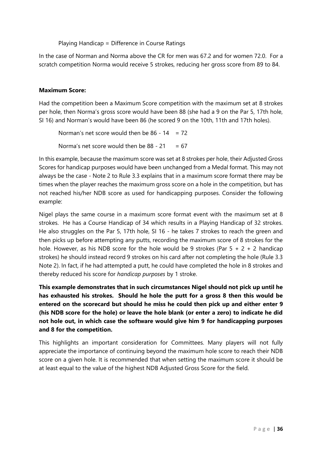Playing Handicap = Difference in Course Ratings

In the case of Norman and Norma above the CR for men was 67.2 and for women 72.0. For a scratch competition Norma would receive 5 strokes, reducing her gross score from 89 to 84.

#### **Maximum Score:**

Had the competition been a Maximum Score competition with the maximum set at 8 strokes per hole, then Norma's gross score would have been 88 (she had a 9 on the Par 5, 17th hole, SI 16) and Norman's would have been 86 (he scored 9 on the 10th, 11th and 17th holes).

Norman's net score would then be  $86 - 14 = 72$ Norma's net score would then be  $88 - 21 = 67$ 

In this example, because the maximum score was set at 8 strokes per hole, their Adjusted Gross Scores for handicap purposes would have been unchanged from a Medal format. This may not always be the case - Note 2 to Rule 3.3 explains that in a maximum score format there may be times when the player reaches the maximum gross score on a hole in the competition, but has not reached his/her NDB score as used for handicapping purposes. Consider the following example:

Nigel plays the same course in a maximum score format event with the maximum set at 8 strokes. He has a Course Handicap of 34 which results in a Playing Handicap of 32 strokes. He also struggles on the Par 5, 17th hole, SI 16 - he takes 7 strokes to reach the green and then picks up before attempting any putts, recording the maximum score of 8 strokes for the hole. However, as his NDB score for the hole would be 9 strokes (Par  $5 + 2 + 2$  handicap strokes) he should instead record 9 strokes on his card after not completing the hole (Rule 3.3 Note 2). In fact, if he had attempted a putt, he could have completed the hole in 8 strokes and thereby reduced his score for *handicap purposes* by 1 stroke.

**This example demonstrates that in such circumstances Nigel should not pick up until he has exhausted his strokes. Should he hole the putt for a gross 8 then this would be entered on the scorecard but should he miss he could then pick up and either enter 9 (his NDB score for the hole) or leave the hole blank (or enter a zero) to indicate he did not hole out, in which case the software would give him 9 for handicapping purposes and 8 for the competition.** 

This highlights an important consideration for Committees. Many players will not fully appreciate the importance of continuing beyond the maximum hole score to reach their NDB score on a given hole. It is recommended that when setting the maximum score it should be at least equal to the value of the highest NDB Adjusted Gross Score for the field.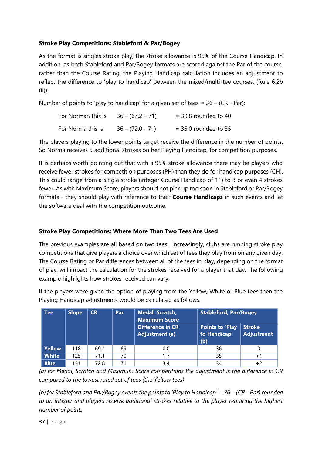#### **Stroke Play Competitions: Stableford & Par/Bogey**

As the format is singles stroke play, the stroke allowance is 95% of the Course Handicap. In addition, as both Stableford and Par/Bogey formats are scored against the Par of the course, rather than the Course Rating, the Playing Handicap calculation includes an adjustment to reflect the difference to 'play to handicap' between the mixed/multi-tee courses. (Rule 6.2b (ii)).

Number of points to 'play to handicap' for a given set of tees =  $36 - (CR - Par)$ :

| For Norman this is | $36 - (67.2 - 71)$ | $=$ 39.8 rounded to 40 |
|--------------------|--------------------|------------------------|
| For Norma this is  | $36 - (72.0 - 71)$ | $=$ 35.0 rounded to 35 |

The players playing to the lower points target receive the difference in the number of points. So Norma receives 5 additional strokes on her Playing Handicap, for competition purposes.

It is perhaps worth pointing out that with a 95% stroke allowance there may be players who receive fewer strokes for competition purposes (PH) than they do for handicap purposes (CH). This could range from a single stroke (integer Course Handicap of 11) to 3 or even 4 strokes fewer. As with Maximum Score, players should not pick up too soon in Stableford or Par/Bogey formats - they should play with reference to their **Course Handicaps** in such events and let the software deal with the competition outcome.

#### **Stroke Play Competitions: Where More Than Two Tees Are Used**

The previous examples are all based on two tees. Increasingly, clubs are running stroke play competitions that give players a choice over which set of tees they play from on any given day. The Course Rating or Par differences between all of the tees in play, depending on the format of play, will impact the calculation for the strokes received for a player that day. The following example highlights how strokes received can vary:

If the players were given the option of playing from the Yellow, White or Blue tees then the Playing Handicap adjustments would be calculated as follows:

| <b>Tee</b>    | <b>Slope</b> | <b>CR</b> | Par | <b>Medal, Scratch,</b><br><b>Maximum Score</b>   | <b>Stableford, Par/Bogey</b>                  |                                    |
|---------------|--------------|-----------|-----|--------------------------------------------------|-----------------------------------------------|------------------------------------|
|               |              |           |     | <b>Difference in CR</b><br><b>Adjustment (a)</b> | <b>Points to 'Play</b><br>to Handicap'<br>(b) | <b>Stroke</b><br><b>Adjustment</b> |
| <b>Yellow</b> | 118          | 69.4      | 69  | 0.0                                              | 36                                            |                                    |
| <b>White</b>  | 125          | 71.1      | 70  | 1.7                                              | 35                                            | $+1$                               |
| <b>Blue</b>   | 131          | 72.8      | 71  | 3.4                                              | 34                                            | $+2$                               |

*(a) for Medal, Scratch and Maximum Score competitions the adjustment is the difference in CR compared to the lowest rated set of tees (the Yellow tees)*

*(b) for Stableford and Par/Bogey events the points to 'Play to Handicap' = 36 – (CR - Par) rounded to an integer and players receive additional strokes relative to the player requiring the highest number of points*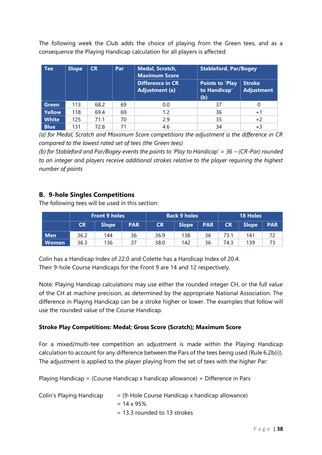The following week the Club adds the choice of playing from the Green tees, and as a consequence the Playing Handicap calculation for all players is affected:

| <b>Tee</b>   | <b>Slope</b> | <b>CR</b> | Par | <b>Medal, Scratch,</b><br><b>Maximum Score</b>   | <b>Stableford, Par/Bogey</b>                  |                                    |
|--------------|--------------|-----------|-----|--------------------------------------------------|-----------------------------------------------|------------------------------------|
|              |              |           |     | <b>Difference in CR</b><br><b>Adjustment (a)</b> | <b>Points to 'Play</b><br>to Handicap'<br>(b) | <b>Stroke</b><br><b>Adjustment</b> |
| Green        | 113          | 68.2      | 69  | 0.0                                              | 37                                            | 0                                  |
| Yellow       | 118          | 69.4      | 69  | 1.2                                              | 36                                            | $+1$                               |
| <b>White</b> | 125          | 71.1      | 70  | 2.9                                              | 35                                            | $+2$                               |
| <b>Blue</b>  | 131          | 72.8      | 71  | 4.6                                              | 34                                            | $+3$                               |

*(a) for Medal, Scratch and Maximum Score competitions the adjustment is the difference in CR compared to the lowest rated set of tees (the Green tees)*

*(b) for Stableford and Par/Bogey events the points to 'Play to Handicap' = 36 – (CR-Par) rounded to an integer and players receive additional strokes relative to the player requiring the highest number of points*

#### **B. 9-hole Singles Competitions**

The following tees will be used in this section:

|            | <b>Front 9 holes</b>                    |     |                           |      | <b>Back 9 holes</b> |           | <b>18 Holes</b> |            |  |
|------------|-----------------------------------------|-----|---------------------------|------|---------------------|-----------|-----------------|------------|--|
|            | <b>Slope</b><br><b>CR</b><br><b>PAR</b> |     | <b>Slope</b><br><b>CR</b> |      | <b>PAR</b>          | <b>CR</b> | <b>Slope</b>    | <b>PAR</b> |  |
| <b>Men</b> | 36.2                                    | 144 | 36                        | 36.9 | 138                 | 36        | 73.1            | 141        |  |
| Women      | 36.3                                    | 136 | 37                        | 38.0 | 142                 | 36        | 74.3            | 139        |  |

Colin has a Handicap Index of 22.0 and Colette has a Handicap Index of 20.4. Their 9-hole Course Handicaps for the Front 9 are 14 and 12 respectively.

Note: Playing Handicap calculations may use either the rounded integer CH, or the full value of the CH at machine precision, as determined by the appropriate National Association. The difference in Playing Handicap can be a stroke higher or lower. The examples that follow will use the rounded value of the Course Handicap.

#### **Stroke Play Competitions: Medal; Gross Score (Scratch); Maximum Score**

For a mixed/multi-tee competition an adjustment is made within the Playing Handicap calculation to account for any difference between the Pars of the tees being used (Rule 6.2b(i)). The adjustment is applied to the player playing from the set of tees with the higher Par:

Playing Handicap = (Course Handicap x handicap allowance) + Difference in Pars

| Colin's Playing Handicap | $=$ (9-Hole Course Handicap x handicap allowance) |
|--------------------------|---------------------------------------------------|
|                          | $= 14 \times 95\%$                                |
|                          | $=$ 13.3 rounded to 13 strokes                    |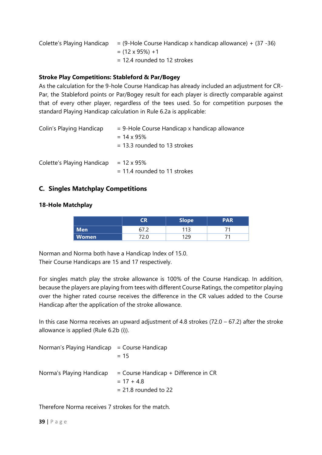| Colette's Playing Handicap = $(9$ -Hole Course Handicap x handicap allowance) + $(37 - 36)$ |
|---------------------------------------------------------------------------------------------|
| $= (12 \times 95\%) + 1$                                                                    |
| $= 12.4$ rounded to 12 strokes                                                              |

#### **Stroke Play Competitions: Stableford & Par/Bogey**

As the calculation for the 9-hole Course Handicap has already included an adjustment for CR-Par, the Stableford points or Par/Bogey result for each player is directly comparable against that of every other player, regardless of the tees used. So for competition purposes the standard Playing Handicap calculation in Rule 6.2a is applicable:

| Colin's Playing Handicap   | $= 9$ -Hole Course Handicap x handicap allowance |
|----------------------------|--------------------------------------------------|
|                            | $= 14 \times 95\%$                               |
|                            | $=$ 13.3 rounded to 13 strokes                   |
| Colette's Playing Handicap | $= 12 \times 95\%$                               |
|                            | $= 11.4$ rounded to 11 strokes                   |

#### **C. Singles Matchplay Competitions**

#### **18-Hole Matchplay**

|              | R | Slope | <b>PAR</b> |
|--------------|---|-------|------------|
| <b>Men</b>   |   | 112   |            |
| <b>Women</b> |   | 0 רו  |            |

Norman and Norma both have a Handicap Index of 15.0. Their Course Handicaps are 15 and 17 respectively.

For singles match play the stroke allowance is 100% of the Course Handicap. In addition, because the players are playing from tees with different Course Ratings, the competitor playing over the higher rated course receives the difference in the CR values added to the Course Handicap after the application of the stroke allowance.

In this case Norma receives an upward adjustment of 4.8 strokes (72.0 – 67.2) after the stroke allowance is applied (Rule 6.2b (i)).

Norman's Playing Handicap = Course Handicap  $= 15$ Norma's Playing Handicap = Course Handicap + Difference in CR  $= 17 + 4.8$  $= 21.8$  rounded to 22

Therefore Norma receives 7 strokes for the match.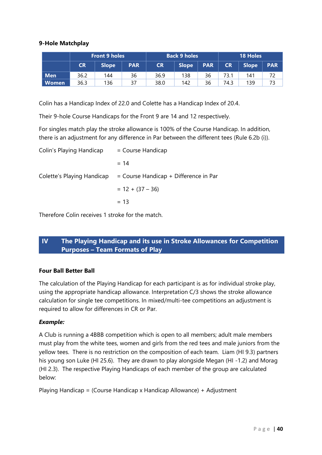#### **9-Hole Matchplay**

|              | <b>Front 9 holes</b>                    |     |                                         |      | <b>Back 9 holes</b> | <b>18 Holes</b> |              |            |  |
|--------------|-----------------------------------------|-----|-----------------------------------------|------|---------------------|-----------------|--------------|------------|--|
|              | <b>Slope</b><br><b>PAR</b><br><b>CR</b> |     | <b>Slope</b><br><b>PAR</b><br><b>CR</b> |      |                     | <b>CR</b>       | <b>Slope</b> | <b>PAR</b> |  |
| <b>Men</b>   | 36.2                                    | 144 | 36                                      | 36.9 | 138                 | 36              | 73.1         | 141        |  |
| <b>Women</b> | 36.3                                    | 136 | 37                                      | 38.0 | 142                 | 36              | 74.3         | 139        |  |

Colin has a Handicap Index of 22.0 and Colette has a Handicap Index of 20.4.

Their 9-hole Course Handicaps for the Front 9 are 14 and 12 respectively.

For singles match play the stroke allowance is 100% of the Course Handicap. In addition, there is an adjustment for any difference in Par between the different tees (Rule 6.2b (i)).

| Colin's Playing Handicap | $=$ Course Handicap                                                |
|--------------------------|--------------------------------------------------------------------|
|                          | $= 14$                                                             |
|                          | Colette's Playing Handicap $=$ Course Handicap + Difference in Par |
|                          | $= 12 + (37 - 36)$                                                 |
|                          | $= 13$                                                             |

Therefore Colin receives 1 stroke for the match.

#### <span id="page-40-0"></span>**IV The Playing Handicap and its use in Stroke Allowances for Competition Purposes – Team Formats of Play**

#### **Four Ball Better Ball**

The calculation of the Playing Handicap for each participant is as for individual stroke play, using the appropriate handicap allowance. Interpretation C/3 shows the stroke allowance calculation for single tee competitions. In mixed/multi-tee competitions an adjustment is required to allow for differences in CR or Par.

#### *Example:*

A Club is running a 4BBB competition which is open to all members; adult male members must play from the white tees, women and girls from the red tees and male juniors from the yellow tees. There is no restriction on the composition of each team. Liam (HI 9.3) partners his young son Luke (HI 25.6). They are drawn to play alongside Megan (HI -1.2) and Morag (HI 2.3). The respective Playing Handicaps of each member of the group are calculated below:

```
Playing Handicap = (Course Handicap x Handicap Allowance) + Adjustment
```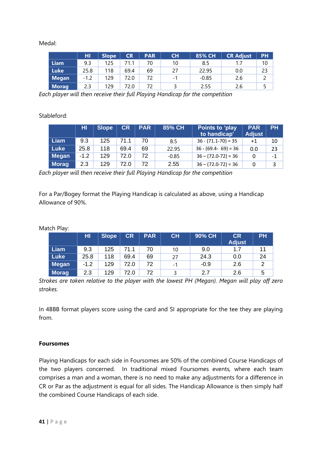Medal:

|              | нı     | <b>Slope</b> | <b>CR</b> | <b>PAR</b> | CH  | 85% CH  | <b>CR Adjust</b> | <b>PH</b> |
|--------------|--------|--------------|-----------|------------|-----|---------|------------------|-----------|
| <b>Liam</b>  | 9.3    | 125          | 71 1      | 70         | 10  | 8.5     |                  | 10        |
| <b>Luke</b>  | 25.8   | 118          | 69.4      | 69         | 27  | 22.95   | 0.0              | 23        |
| <b>Megan</b> | $-1.2$ | 129          | 72.0      |            | - 1 | $-0.85$ | 2.6              |           |
| <b>Morag</b> | 2.3    | 129          | 72.0      |            |     | 2.55    | 2.6              |           |

*Each player will then receive their full Playing Handicap for the competition*

Stableford:

|              | HI     | Slope | <b>CR</b> | <b>PAR</b> | 85% CH  | Points to 'play<br>to handicap' | <b>PAR</b><br><b>Adjust</b> | <b>PH</b> |
|--------------|--------|-------|-----------|------------|---------|---------------------------------|-----------------------------|-----------|
| <b>Liam</b>  | 9.3    | 125   | 71.1      | 70         | 8.5     | $36 - (71.1 - 70) = 35$         | $+1$                        | 10        |
| <b>Luke</b>  | 25.8   | 118   | 69.4      | 69         | 22.95   | $36 - (69.4 - 69) = 36$         | 0.0                         | 23        |
| <b>Megan</b> | $-1.2$ | 129   | 72.0      | 72         | $-0.85$ | $36 - (72.0 - 72) = 36$         | 0                           | $-1$      |
| <b>Morag</b> | 2.3    | 129   | 72 N      | 72         | 2.55    | $36 - (72.0 - 72) = 36$         | 0                           | 3         |

*Each player will then receive their full Playing Handicap for the competition*

For a Par/Bogey format the Playing Handicap is calculated as above, using a Handicap Allowance of 90%.

Match Play:

|              | HI     | <b>Slope</b> | <b>CR</b> | <b>PAR</b> | <b>CH</b> | 90% CH | <b>CR</b><br><b>Adjust</b> | <b>PH</b> |
|--------------|--------|--------------|-----------|------------|-----------|--------|----------------------------|-----------|
| <b>Liam</b>  | 9.3    | 125          | 71.1      | 70         | 10        | 9.0    | 17                         |           |
| <b>Luke</b>  | 25.8   | 118          | 69.4      | 69         | 27        | 24.3   | 0.0                        | 24        |
| <b>Megan</b> | $-1.2$ | 129          | 72.0      | 72         | -1        | $-0.9$ | 2.6                        |           |
| <b>Morag</b> | 2.3    | 129          | 72.0      | 72         |           | 2.7    | 2.6                        |           |

*Strokes are taken relative to the player with the lowest PH (Megan). Megan will play off zero strokes.* 

In 4BBB format players score using the card and SI appropriate for the tee they are playing from.

#### **Foursomes**

Playing Handicaps for each side in Foursomes are 50% of the combined Course Handicaps of the two players concerned. In traditional mixed Foursomes events, where each team comprises a man and a woman, there is no need to make any adjustments for a difference in CR or Par as the adjustment is equal for all sides. The Handicap Allowance is then simply half the combined Course Handicaps of each side.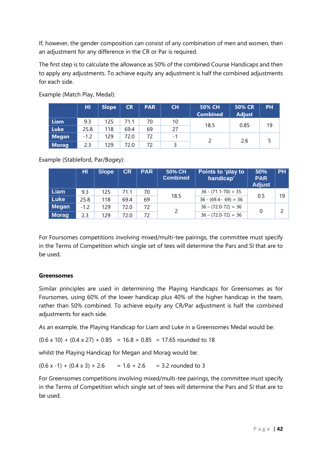If, however, the gender composition can consist of any combination of men and women, then an adjustment for any difference in the CR or Par is required.

The first step is to calculate the allowance as 50% of the combined Course Handicaps and then to apply any adjustments. To achieve equity any adjustment is half the combined adjustments for each side.

|              | HI     | <b>Slope</b> | <b>CR</b> | <b>PAR</b> | CH   | <b>50% CH</b><br><b>Combined</b> | <b>50% CR</b><br><b>Adjust</b> | <b>PH</b> |
|--------------|--------|--------------|-----------|------------|------|----------------------------------|--------------------------------|-----------|
| <b>Liam</b>  | 9.3    | 125          | 71.1      | 70         | 10   | 18.5                             | 0.85                           | 19        |
| <b>Luke</b>  | 25.8   | 118          | 69.4      | 69         | 27   |                                  |                                |           |
| <b>Megan</b> | $-1.2$ | 129          | 72.0      | 72         | $-1$ |                                  |                                |           |
| <b>Morag</b> | 2.3    | 129          | 72.0      | 72         |      |                                  | 2.6                            |           |

Example (Match Play, Medal):

Example (Stableford, Par/Bogey):

|              | HI     | <b>Slope</b> | <b>CR</b> | <b>PAR</b> | 50% CH<br><b>Combined</b> | Points to 'play to<br>handicap' | 50%<br><b>PAR</b><br><b>Adjust</b> | <b>PH</b> |
|--------------|--------|--------------|-----------|------------|---------------------------|---------------------------------|------------------------------------|-----------|
| <b>Liam</b>  | 9.3    | 125          | 71.1      | 70         |                           | $36 - (71.1 - 70) = 35$         |                                    | 19        |
| <b>Luke</b>  | 25.8   | 118          | 69.4      | 69         | 18.5                      | $36 - (69.4 - 69) = 36$         | 0.5                                |           |
| <b>Megan</b> | $-1.2$ | 129          | 72.0      | 72         |                           | $36 - (72.0 - 72) = 36$         |                                    |           |
| <b>Morag</b> | 2.3    | 129          | 72.0      | 72         | 2                         | $36 - (72.0 - 72) = 36$         | 0                                  |           |

For Foursomes competitions involving mixed/multi-tee pairings, the committee must specify in the Terms of Competition which single set of tees will determine the Pars and SI that are to be used.

#### **Greensomes**

Similar principles are used in determining the Playing Handicaps for Greensomes as for Foursomes, using 60% of the lower handicap plus 40% of the higher handicap in the team, rather than 50% combined. To achieve equity any CR/Par adjustment is half the combined adjustments for each side.

As an example, the Playing Handicap for Liam and Luke in a Greensomes Medal would be:

 $(0.6 \times 10) + (0.4 \times 27) + 0.85 = 16.8 + 0.85 = 17.65$  rounded to 18

whilst the Playing Handicap for Megan and Morag would be:

 $(0.6 x -1) + (0.4 x 3) + 2.6 = 1.6 + 2.6 = 3.2$  rounded to 3

For Greensomes competitions involving mixed/multi-tee pairings, the committee must specify in the Terms of Competition which single set of tees will determine the Pars and SI that are to be used.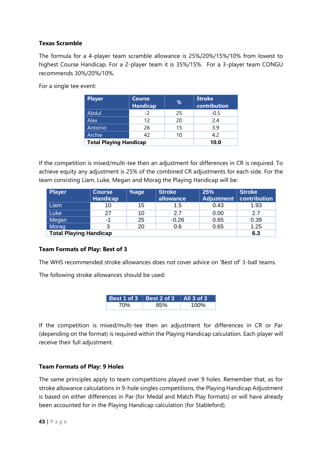#### **Texas Scramble**

The formula for a 4-player team scramble allowance is 25%/20%/15%/10% from lowest to highest Course Handicap. For a 2-player team it is 35%/15%. For a 3-player team CONGU recommends 30%/20%/10%.

For a single tee event:

| <b>Player</b>                 | <b>Course</b><br><b>Handicap</b> | %  | <b>Stroke</b><br>contribution |
|-------------------------------|----------------------------------|----|-------------------------------|
| Abdul                         | $-2$                             | 25 | $-0.5$                        |
| Alex                          | 12                               | 20 | 2.4                           |
| Antonio                       | 26                               | 15 | 3.9                           |
| Archie                        | 42                               | 10 | 4.2                           |
| <b>Total Playing Handicap</b> |                                  |    | 10.0                          |

If the competition is mixed/multi-tee then an adjustment for differences in CR is required. To achieve equity any adjustment is 25% of the combined CR adjustments for each side. For the team consisting Liam, Luke, Megan and Morag the Playing Handicap will be:

| <b>Player</b>                 | <b>Course</b><br><b>Handicap</b> | %age | <b>Stroke</b><br>allowance | 25%<br><b>Adjustment</b> | <b>Stroke</b><br>contribution |
|-------------------------------|----------------------------------|------|----------------------------|--------------------------|-------------------------------|
| Liam                          | 10                               | 15   | 1.5                        | 0.43                     | 1.93                          |
| Luke                          | 27                               | 10   | 2.7                        | 0.00                     | 2.7                           |
| Megan                         | -1                               | 25   | $-0.26$                    | 0.65                     | 0.39                          |
| Morag                         | 3                                | 20   | 0.6                        | 0.65                     | 1.25                          |
| <b>Total Playing Handicap</b> |                                  |      |                            | 6.3                      |                               |

#### **Team Formats of Play: Best of 3**

The WHS recommended stroke allowances does not cover advice on 'Best of' 3-ball teams.

The following stroke allowances should be used:

| Best 1 of 3 $\parallel$ Best 2 of 3 $\parallel$ All 3 of 3 |  |
|------------------------------------------------------------|--|
|                                                            |  |

If the competition is mixed/multi-tee then an adjustment for differences in CR or Par (depending on the format) is required within the Playing Handicap calculation. Each player will receive their full adjustment.

#### **Team Formats of Play: 9 Holes**

The same principles apply to team competitions played over 9 holes. Remember that, as for stroke allowance calculations in 9-hole singles competitions, the Playing Handicap Adjustment is based on either differences in Par (for Medal and Match Play formats) or will have already been accounted for in the Playing Handicap calculation (for Stableford).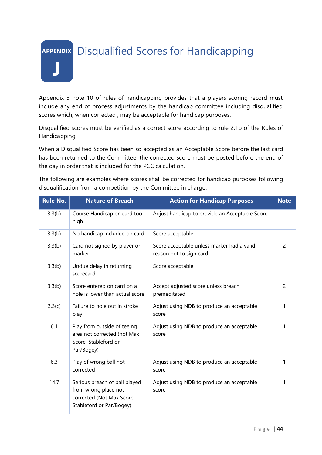## <span id="page-44-0"></span>**APPENDIX J** Disqualified Scores for Handicapping

Appendix B note 10 of rules of handicapping provides that a players scoring record must include any end of process adjustments by the handicap committee including disqualified scores which, when corrected , may be acceptable for handicap purposes.

Disqualified scores must be verified as a correct score according to rule 2.1b of the Rules of Handicapping.

When a Disqualified Score has been so accepted as an Acceptable Score before the last card has been returned to the Committee, the corrected score must be posted before the end of the day in order that is included for the PCC calculation.

The following are examples where scores shall be corrected for handicap purposes following disqualification from a competition by the Committee in charge:

| <b>Rule No.</b> | <b>Nature of Breach</b>                                                                                        | <b>Action for Handicap Purposes</b>                                   | <b>Note</b>    |
|-----------------|----------------------------------------------------------------------------------------------------------------|-----------------------------------------------------------------------|----------------|
| 3.3(b)          | Course Handicap on card too<br>high                                                                            | Adjust handicap to provide an Acceptable Score                        |                |
| 3.3(b)          | No handicap included on card                                                                                   | Score acceptable                                                      |                |
| 3.3(b)          | Card not signed by player or<br>marker                                                                         | Score acceptable unless marker had a valid<br>reason not to sign card | $\overline{2}$ |
| 3.3(b)          | Undue delay in returning<br>scorecard                                                                          | Score acceptable                                                      |                |
| 3.3(b)          | Score entered on card on a<br>hole is lower than actual score                                                  | Accept adjusted score unless breach<br>premeditated                   | $\overline{2}$ |
| 3.3(c)          | Failure to hole out in stroke<br>play                                                                          | Adjust using NDB to produce an acceptable<br>score                    | 1              |
| 6.1             | Play from outside of teeing<br>area not corrected (not Max<br>Score, Stableford or<br>Par/Bogey)               | Adjust using NDB to produce an acceptable<br>score                    | 1              |
| 6.3             | Play of wrong ball not<br>corrected                                                                            | Adjust using NDB to produce an acceptable<br>score                    | 1              |
| 14.7            | Serious breach of ball played<br>from wrong place not<br>corrected (Not Max Score,<br>Stableford or Par/Bogey) | Adjust using NDB to produce an acceptable<br>score                    | 1              |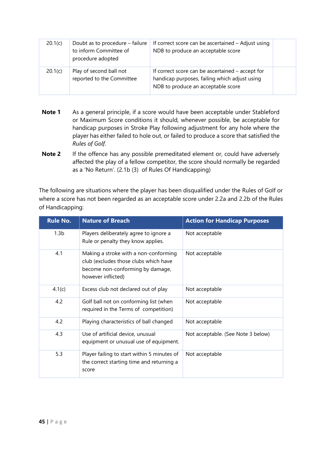| 20.1(c) | Doubt as to procedure - failure<br>to inform Committee of<br>procedure adopted | If correct score can be ascertained – Adjust using<br>NDB to produce an acceptable score                                                |  |
|---------|--------------------------------------------------------------------------------|-----------------------------------------------------------------------------------------------------------------------------------------|--|
| 20.1(c) | Play of second ball not<br>reported to the Committee                           | If correct score can be ascertained – accept for<br>handicap purposes, failing which adjust using<br>NDB to produce an acceptable score |  |

- **Note 1** As a general principle, if a score would have been acceptable under Stableford or Maximum Score conditions it should, whenever possible, be acceptable for handicap purposes in Stroke Play following adjustment for any hole where the player has either failed to hole out, or failed to produce a score that satisfied the *Rules of Golf*.
- **Note 2** If the offence has any possible premeditated element or, could have adversely affected the play of a fellow competitor, the score should normally be regarded as a 'No Return'. (2.1b (3) of Rules Of Handicapping)

The following are situations where the player has been disqualified under the Rules of Golf or where a score has not been regarded as an acceptable score under 2.2a and 2.2b of the Rules of Handicapping:

| <b>Rule No.</b>  | <b>Nature of Breach</b>                                                                                                                  | <b>Action for Handicap Purposes</b> |
|------------------|------------------------------------------------------------------------------------------------------------------------------------------|-------------------------------------|
| 1.3 <sub>b</sub> | Players deliberately agree to ignore a<br>Rule or penalty they know applies.                                                             | Not acceptable                      |
| 4.1              | Making a stroke with a non-conforming<br>club (excludes those clubs which have<br>become non-conforming by damage,<br>however inflicted) | Not acceptable                      |
| 4.1(c)           | Excess club not declared out of play                                                                                                     | Not acceptable                      |
| 4.2              | Golf ball not on conforming list (when<br>required in the Terms of competition)                                                          | Not acceptable                      |
| 4.2              | Playing characteristics of ball changed                                                                                                  | Not acceptable                      |
| 4.3              | Use of artificial device, unusual<br>equipment or unusual use of equipment.                                                              | Not acceptable. (See Note 3 below)  |
| 5.3              | Player failing to start within 5 minutes of<br>the correct starting time and returning a<br>score                                        | Not acceptable                      |